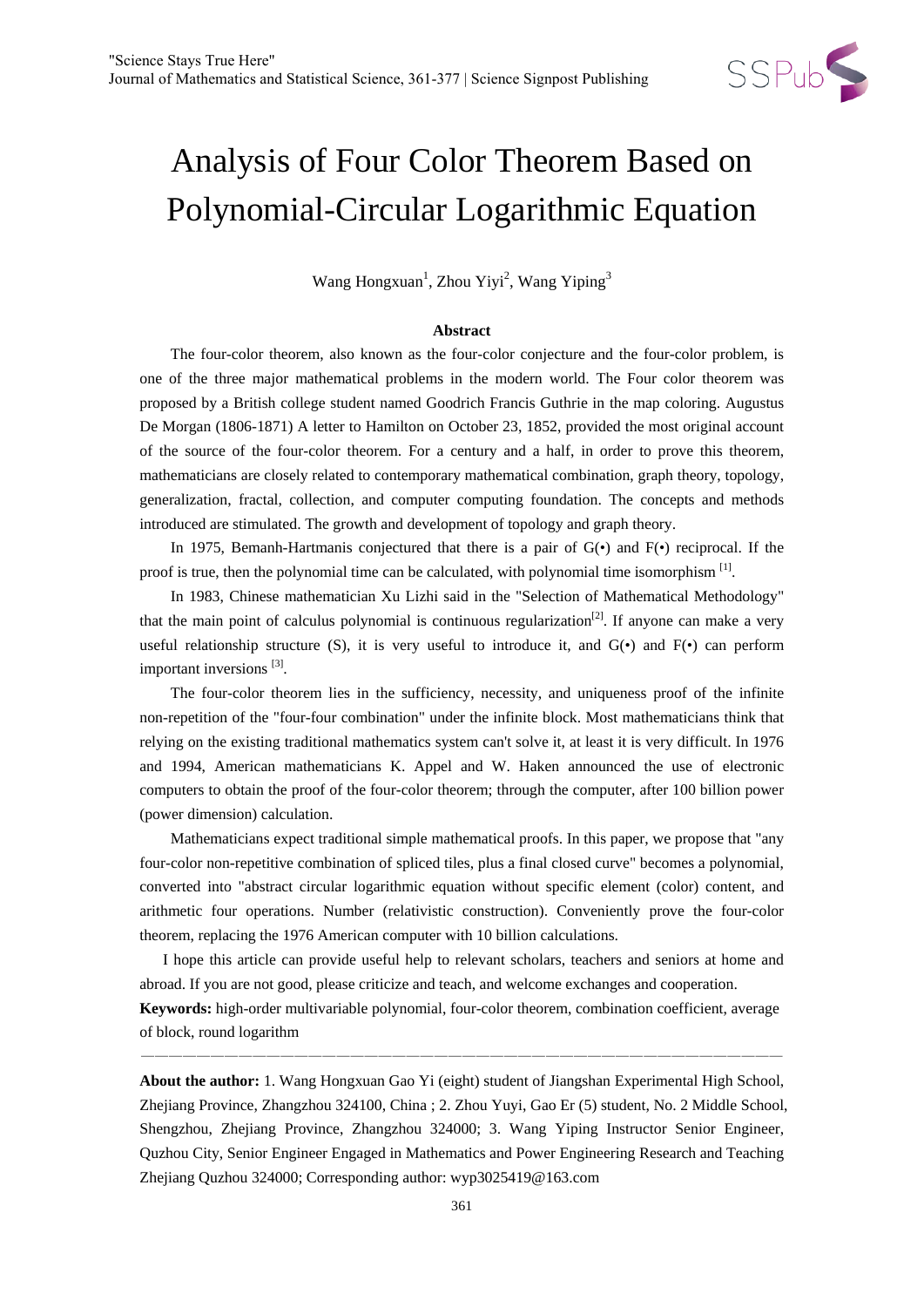

# Analysis of Four Color Theorem Based on Polynomial-Circular Logarithmic Equation

Wang Hongxuan<sup>1</sup>, Zhou Yiyi<sup>2</sup>, Wang Yiping<sup>3</sup>

#### **Abstract**

The four-color theorem, also known as the four-color conjecture and the four-color problem, is one of the three major mathematical problems in the modern world. The Four color theorem was proposed by a British college student named Goodrich Francis Guthrie in the map coloring. Augustus De Morgan (1806-1871) A letter to Hamilton on October 23, 1852, provided the most original account of the source of the four-color theorem. For a century and a half, in order to prove this theorem, mathematicians are closely related to contemporary mathematical combination, graph theory, topology, generalization, fractal, collection, and computer computing foundation. The concepts and methods introduced are stimulated. The growth and development of topology and graph theory.

In 1975, Bemanh-Hartmanis conjectured that there is a pair of  $G(\bullet)$  and  $F(\bullet)$  reciprocal. If the proof is true, then the polynomial time can be calculated, with polynomial time isomorphism  $\left[1\right]$ .

In 1983, Chinese mathematician Xu Lizhi said in the "Selection of Mathematical Methodology" that the main point of calculus polynomial is continuous regularization<sup>[2]</sup>. If anyone can make a very useful relationship structure (S), it is very useful to introduce it, and  $G(\cdot)$  and  $F(\cdot)$  can perform important inversions<sup>[3]</sup>.

The four-color theorem lies in the sufficiency, necessity, and uniqueness proof of the infinite non-repetition of the "four-four combination" under the infinite block. Most mathematicians think that relying on the existing traditional mathematics system can't solve it, at least it is very difficult. In 1976 and 1994, American mathematicians K. Appel and W. Haken announced the use of electronic computers to obtain the proof of the four-color theorem; through the computer, after 100 billion power (power dimension) calculation.

Mathematicians expect traditional simple mathematical proofs. In this paper, we propose that "any four-color non-repetitive combination of spliced tiles, plus a final closed curve" becomes a polynomial, converted into "abstract circular logarithmic equation without specific element (color) content, and arithmetic four operations. Number (relativistic construction). Conveniently prove the four-color theorem, replacing the 1976 American computer with 10 billion calculations.

I hope this article can provide useful help to relevant scholars, teachers and seniors at home and abroad. If you are not good, please criticize and teach, and welcome exchanges and cooperation. **Keywords:** high-order multivariable polynomial, four-color theorem, combination coefficient, average of block, round logarithm

——————————————————————————————————————————————

**About the author:** 1. Wang Hongxuan Gao Yi (eight) student of Jiangshan Experimental High School, Zhejiang Province, Zhangzhou 324100, China ; 2. Zhou Yuyi, Gao Er (5) student, No. 2 Middle School, Shengzhou, Zhejiang Province, Zhangzhou 324000; 3. Wang Yiping Instructor Senior Engineer, Quzhou City, Senior Engineer Engaged in Mathematics and Power Engineering Research and Teaching Zhejiang Quzhou 324000; Corresponding author: wyp3025419@163.com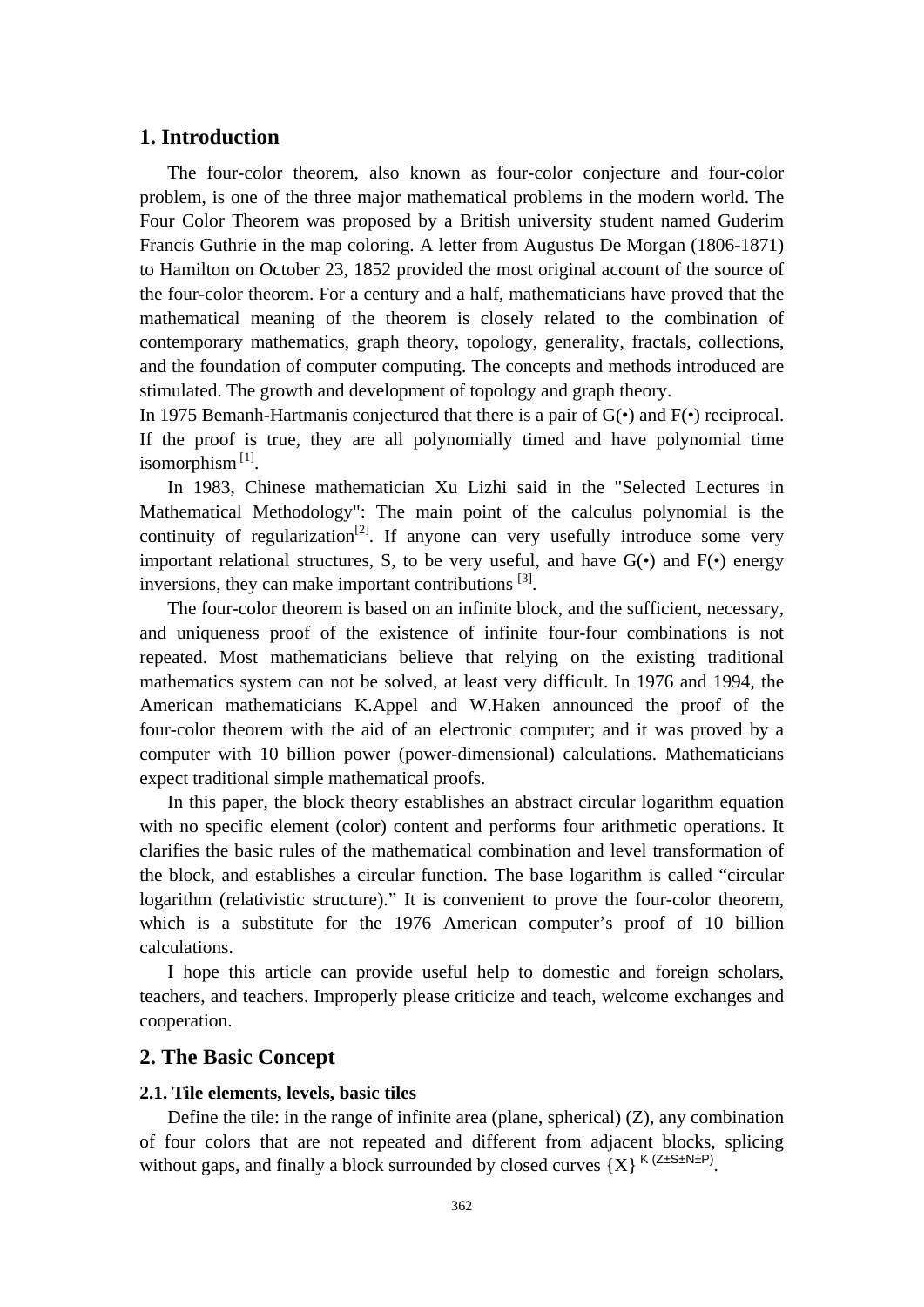## **1. Introduction**

The four-color theorem, also known as four-color conjecture and four-color problem, is one of the three major mathematical problems in the modern world. The Four Color Theorem was proposed by a British university student named Guderim Francis Guthrie in the map coloring. A letter from Augustus De Morgan (1806-1871) to Hamilton on October 23, 1852 provided the most original account of the source of the four-color theorem. For a century and a half, mathematicians have proved that the mathematical meaning of the theorem is closely related to the combination of contemporary mathematics, graph theory, topology, generality, fractals, collections, and the foundation of computer computing. The concepts and methods introduced are stimulated. The growth and development of topology and graph theory.

In 1975 Bemanh-Hartmanis conjectured that there is a pair of  $G(\cdot)$  and  $F(\cdot)$  reciprocal. If the proof is true, they are all polynomially timed and have polynomial time isomorphism $^{[1]}$ .

In 1983, Chinese mathematician Xu Lizhi said in the "Selected Lectures in Mathematical Methodology": The main point of the calculus polynomial is the continuity of regularization<sup>[2]</sup>. If anyone can very usefully introduce some very important relational structures, S, to be very useful, and have  $G(\cdot)$  and  $F(\cdot)$  energy inversions, they can make important contributions  $[3]$ .

The four-color theorem is based on an infinite block, and the sufficient, necessary, and uniqueness proof of the existence of infinite four-four combinations is not repeated. Most mathematicians believe that relying on the existing traditional mathematics system can not be solved, at least very difficult. In 1976 and 1994, the American mathematicians K.Appel and W.Haken announced the proof of the four-color theorem with the aid of an electronic computer; and it was proved by a computer with 10 billion power (power-dimensional) calculations. Mathematicians expect traditional simple mathematical proofs.

In this paper, the block theory establishes an abstract circular logarithm equation with no specific element (color) content and performs four arithmetic operations. It clarifies the basic rules of the mathematical combination and level transformation of the block, and establishes a circular function. The base logarithm is called "circular logarithm (relativistic structure)." It is convenient to prove the four-color theorem, which is a substitute for the 1976 American computer's proof of 10 billion calculations.

I hope this article can provide useful help to domestic and foreign scholars, teachers, and teachers. Improperly please criticize and teach, welcome exchanges and cooperation.

#### **2. The Basic Concept**

#### **2.1. Tile elements, levels, basic tiles**

Define the tile: in the range of infinite area (plane, spherical) (Z), any combination of four colors that are not repeated and different from adjacent blocks, splicing without gaps, and finally a block surrounded by closed curves  ${X}$ <sup>K (Z±S±N±P)</sup>.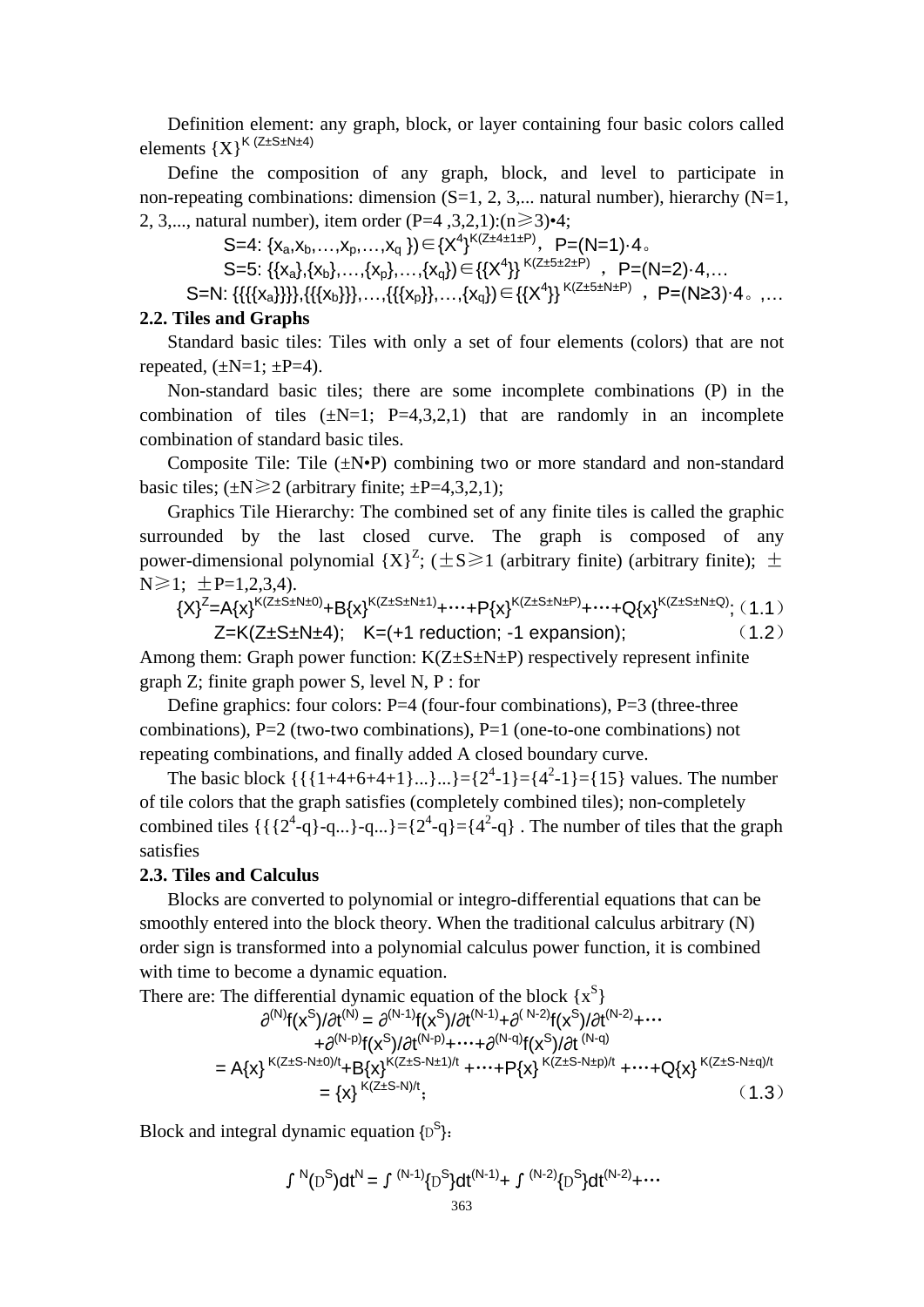Definition element: any graph, block, or layer containing four basic colors called elements  ${X}^{K (Z \pm S \pm N \pm 4)}$ 

Define the composition of any graph, block, and level to participate in non-repeating combinations: dimension  $(S=1, 2, 3,...)$  natural number), hierarchy  $(N=1, 1)$ 2, 3,..., natural number), item order (P=4, 3,2,1): $(n \ge 3) \cdot 4$ ;

S=4: { $x_a, x_b, ..., x_p, ..., x_q$ })  $\in \{X^4\}^{K(Z \pm 4 \pm 1 \pm P)}$ , P=(N=1)·4.

S=5: {{ $x_a$ },{ $x_b$ },...,{ $x_p$ },...,{ $x_q$ }}  $\in$ {{ $X^4$ }}<sup>K(Z±5±2±P)</sup>, P=(N=2)·4,...

S=N: {{{{x<sub>a</sub>}}}},{{{x<sub>b</sub>}}},…,{{{x<sub>p</sub>}},…,{x<sub>q</sub>})∈{{X<sup>4</sup>}}<sup>K(Z±5±N±P)</sup>, P=(N≥3)·4。,…

## **2.2. Tiles and Graphs**

Standard basic tiles: Tiles with only a set of four elements (colors) that are not repeated,  $(\pm N=1; \pm P=4)$ .

Non-standard basic tiles; there are some incomplete combinations (P) in the combination of tiles  $(\pm N=1; P=4,3,2,1)$  that are randomly in an incomplete combination of standard basic tiles.

Composite Tile: Tile  $(\pm N\cdot P)$  combining two or more standard and non-standard basic tiles;  $(\pm N \ge 2$  (arbitrary finite;  $\pm P=4,3,2,1$ );

Graphics Tile Hierarchy: The combined set of any finite tiles is called the graphic surrounded by the last closed curve. The graph is composed of any power-dimensional polynomial  ${X}^Z$ ; ( $\pm S \ge 1$  (arbitrary finite) (arbitrary finite);  $\pm$  $N \ge 1$ :  $\pm P=1.2,3.4$ ).

$$
{X}^{Z} = A{x}^{K(Z \pm S \pm N \pm 0)} + B{x}^{K(Z \pm S \pm N \pm 1)} + \dots + P{x}^{K(Z \pm S \pm N \pm P)} + \dots + Q{x}^{K(Z \pm S \pm N \pm Q)}; (1.1)
$$
  
Z=K(Z \pm S \pm N \pm 4); K=(+1 reduction; -1 expansion); (1.2)

Among them: Graph power function:  $K(Z \pm S \pm N \pm P)$  respectively represent infinite graph Z; finite graph power S, level N, P : for

Define graphics: four colors:  $P=4$  (four-four combinations),  $P=3$  (three-three combinations),  $P=2$  (two-two combinations),  $P=1$  (one-to-one combinations) not repeating combinations, and finally added A closed boundary curve.

The basic block  $\{\{\{1+4+6+4+1\}...\}...\} = \{2^4-1\} = \{4^2-1\} = \{15\}$  values. The number of tile colors that the graph satisfies (completely combined tiles); non-completely combined tiles  $\{\{\2^4 - q\} - q...\} = \{2^4 - q\} - \{4^2 - q\}$ . The number of tiles that the graph satisfies

#### **2.3. Tiles and Calculus**

Blocks are converted to polynomial or integro-differential equations that can be smoothly entered into the block theory. When the traditional calculus arbitrary (N) order sign is transformed into a polynomial calculus power function, it is combined with time to become a dynamic equation.

There are: The differential dynamic equation of the block  $\{x^S\}$ 

$$
\partial^{(N)}f(x^{S})/\partial t^{(N)} = \partial^{(N-1)}f(x^{S})/\partial t^{(N-1)} + \partial^{(N-2)}f(x^{S})/\partial t^{(N-2)} + \cdots \n+ \partial^{(N-p)}f(x^{S})/\partial t^{(N-p)} + \cdots + \partial^{(N-q)}f(x^{S})/\partial t^{(N-q)} \n= A\{x\}^{K(Z+S-N\pm 0)/t} + B\{x\}^{K(Z+S-N\pm 1)/t} + \cdots + P\{x\}^{K(Z+S-N\pm p)/t} + \cdots + Q\{x\}^{K(Z+S-N\pm q)/t} \n= \{x\}^{K(Z\pm S-N)/t};
$$
\n(1.3)

Block and integral dynamic equation  $\{D^S\}$ :

$$
\int {}^{N}(D^{S})dt^{N} = \int {}^{(N-1)}\{D^{S}\}dt^{(N-1)} + \int {}^{(N-2)}\{D^{S}\}dt^{(N-2)} + \cdots
$$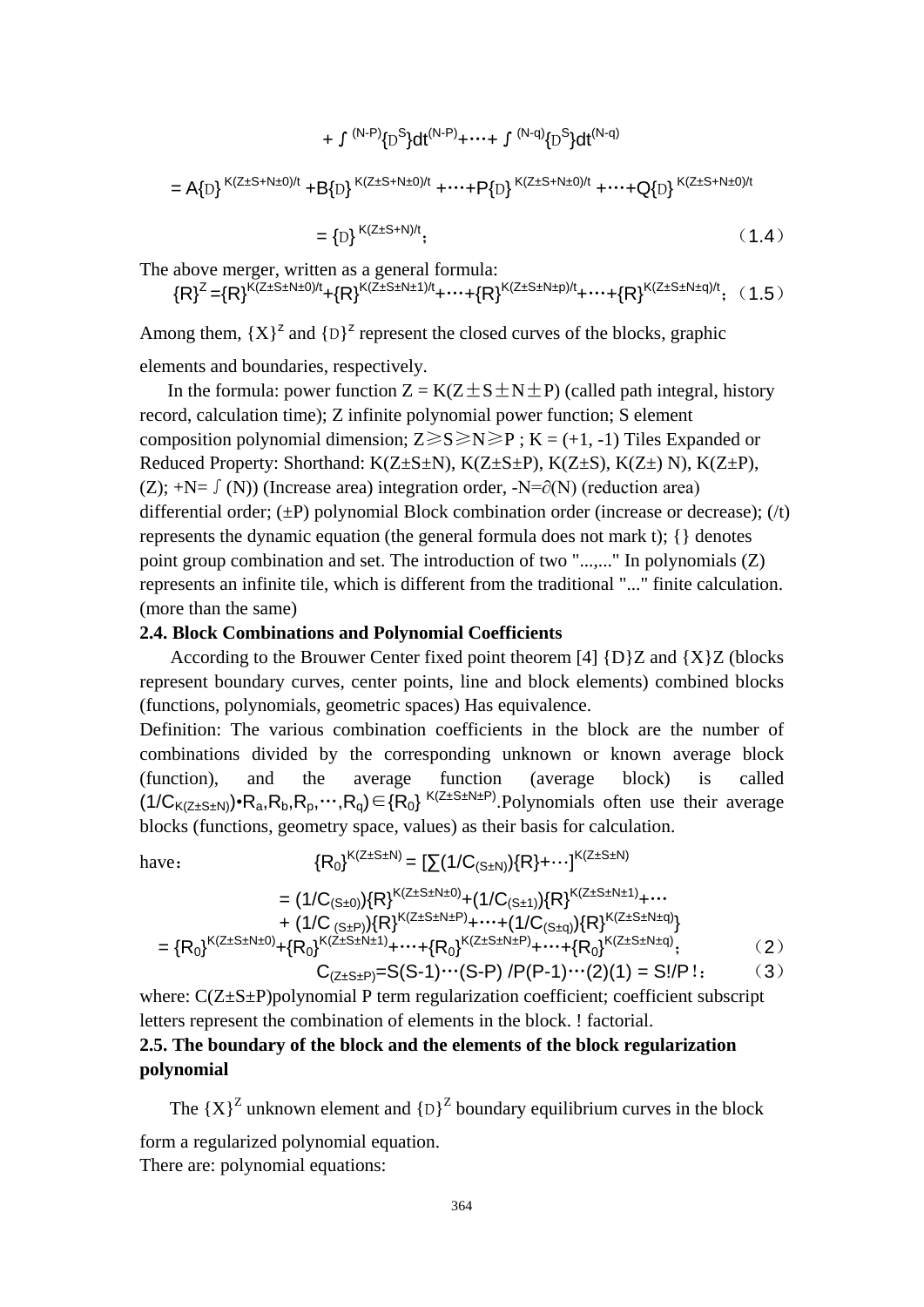$$
+ \int {}^{(N-P)}\{D^{S}\}dt^{(N-P)} + \cdots + \int {}^{(N-q)}\{D^{S}\}dt^{(N-q)}
$$
  
=  $A\{D\}^{K(Z \pm S + N \pm 0)/t} + B\{D\}^{K(Z \pm S + N \pm 0)/t} + \cdots + P\{D\}^{K(Z \pm S + N \pm 0)/t} + \cdots + Q\{D\}^{K(Z \pm S + N \pm 0)/t}$   
=  $\{D\}^{K(Z \pm S + N)/t};$  (1.4)

The above merger, written as a general formula:

$$
{R}^{Z}={R}^{K(Z\pm S\pm N\pm 0)/t}+{R}^{K(Z\pm S\pm N\pm 1)/t}+\cdots+{R}^{K(Z\pm S\pm N\pm p)/t}+\cdots+{R}^{K(Z\pm S\pm N\pm q)/t};~~(1.5)
$$

Among them,  ${X}^2$  and  ${D}^2$  represent the closed curves of the blocks, graphic elements and boundaries, respectively.

In the formula: power function  $Z = K(Z \pm S \pm N \pm P)$  (called path integral, history record, calculation time); Z infinite polynomial power function; S element composition polynomial dimension;  $Z \ge S \ge N \ge P$ ;  $K = (+1, -1)$  Tiles Expanded or Reduced Property: Shorthand:  $K(Z \pm S \pm N)$ ,  $K(Z \pm S \pm P)$ ,  $K(Z \pm S)$ ,  $K(Z \pm N)$ ,  $K(Z \pm P)$ , (Z); +N=  $\int$  (N)) (Increase area) integration order, -N= $\partial$ (N) (reduction area) differential order;  $(\pm P)$  polynomial Block combination order (increase or decrease);  $(\pi)$ represents the dynamic equation (the general formula does not mark t); {} denotes point group combination and set. The introduction of two "...,..." In polynomials (Z) represents an infinite tile, which is different from the traditional "..." finite calculation. (more than the same)

#### **2.4. Block Combinations and Polynomial Coefficients**

According to the Brouwer Center fixed point theorem  $[4]$  {D}Z and {X}Z (blocks represent boundary curves, center points, line and block elements) combined blocks (functions, polynomials, geometric spaces) Has equivalence.

Definition: The various combination coefficients in the block are the number of combinations divided by the corresponding unknown or known average block (function), and the average function (average block) is called  $(1/C_{K(Z\pm S\pm N)})\cdot R_a, R_b, R_p, \cdots, R_q$  $\in$  { $R_0$ }<sup>K(Z $\pm S\pm N\pm P$ </sup>). Polynomials often use their average

blocks (functions, geometry space, values) as their basis for calculation.  
\nhave: 
$$
{R_0}^{K(Z \pm S \pm N)} = [\sum (1/C_{(S \pm N)}) \{R\} + \cdots]^{K(Z \pm S \pm N)}
$$
  
\n
$$
= (1/C_{(S \pm 0)}) \{R\}^{K(Z \pm S \pm N \pm 0)} + (1/C_{(S \pm 1)}) \{R\}^{K(Z \pm S \pm N \pm 1)} + \cdots
$$
\n
$$
+ (1/C_{(S \pm P)}) \{R\}^{K(Z \pm S \pm N \pm P)} + \cdots + (1/C_{(S \pm q)}) \{R\}^{K(Z \pm S \pm N \pm q)} \}
$$
\n
$$
= \{R_0\}^{K(Z \pm S \pm N \pm 0)} + \{R_0\}^{K(Z \pm S \pm N \pm 1)} + \cdots + \{R_0\}^{K(Z \pm S \pm N \pm P)} + \cdots + \{R_0\}^{K(Z \pm S \pm N \pm q)}; \qquad (2)
$$
\n
$$
C_{(Z \pm S \pm P)} = S(S - 1) \cdots (S - P) / P(P - 1) \cdots (2) (1) = S!/P !; \qquad (3)
$$

where:  $C(Z \pm S \pm P)$  polynomial P term regularization coefficient; coefficient subscript letters represent the combination of elements in the block. ! factorial.

# **2.5. The boundary of the block and the elements of the block regularization polynomial**

The  ${X}^Z$  unknown element and  ${D}^Z$  boundary equilibrium curves in the block form a regularized polynomial equation.

There are: polynomial equations: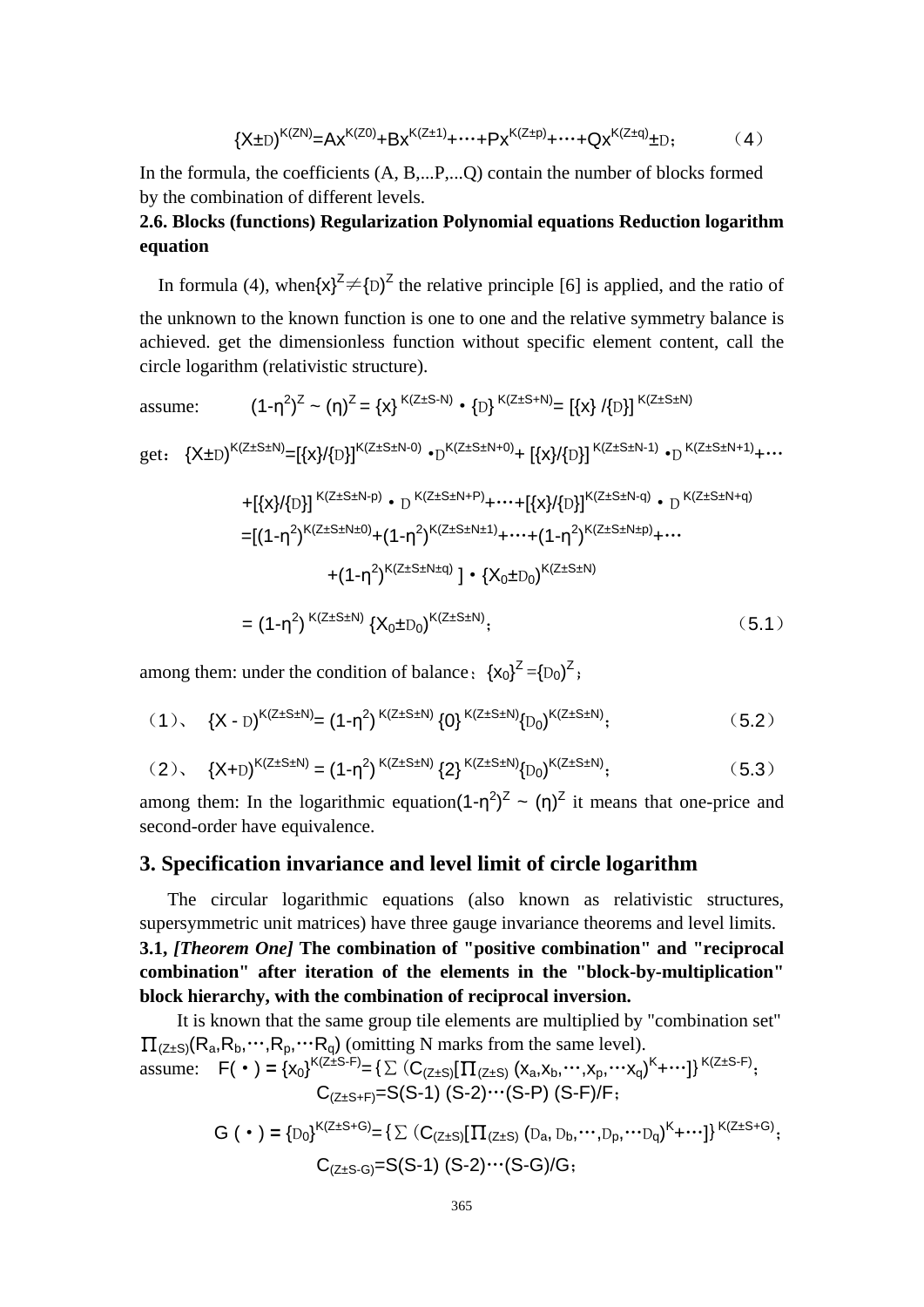$$
{X \pm D}^{K(ZN)} = Ax^{K(Z0)} + Bx^{K(Z \pm 1)} + \cdots + Px^{K(Z \pm p)} + \cdots + Qx^{K(Z \pm q)} \pm D;
$$
 (4)

In the formula, the coefficients (A, B,...P,...Q) contain the number of blocks formed by the combination of different levels.

# **2.6. Blocks (functions) Regularization Polynomial equations Reduction logarithm equation**

In formula (4), when $\{x\}^{\mathbb{Z}} \neq \{D\}^{\mathbb{Z}}$  the relative principle [6] is applied, and the ratio of the unknown to the known function is one to one and the relative symmetry balance is achieved. get the dimensionless function without specific element content, call the circle logarithm (relativistic structure).

assume: 
$$
(1-\eta^2)^Z \sim (\eta)^Z = \{x\}^{K(Z \pm S - N)} \cdot \{D\}^{K(Z \pm S + N)} = [\{x\} / \{D\}]^{K(Z \pm S \pm N)}
$$

$$
\text{get: } \{X \pm D\}^{K(Z \pm S \pm N)} = [\{x\}/\{D\}]^{K(Z \pm S \pm N - 0)} \cdot D^{K(Z \pm S \pm N + 0)} + \left[\{x\}/\{D\}\right]^{K(Z \pm S \pm N - 1)} \cdot D^{K(Z \pm S \pm N + 1)} + \cdots
$$

$$
+[\{x\}/\{D\}]^{K(Z \pm S \pm N-p)} \cdot D^{K(Z \pm S \pm N + P)} + \cdots + [\{x\}/\{D\}]^{K(Z \pm S \pm N - q)} \cdot D^{K(Z \pm S \pm N + q)}
$$
\n
$$
= [(1 - \eta^2)^{K(Z \pm S \pm N \pm 0)} + (1 - \eta^2)^{K(Z \pm S \pm N \pm 1)} + \cdots + (1 - \eta^2)^{K(Z \pm S \pm N \pm p)} + \cdots
$$
\n
$$
+ (1 - \eta^2)^{K(Z \pm S \pm N + q)}] \cdot {\{X_0 \pm D_0\}}^{K(Z \pm S \pm N)}
$$
\n
$$
= (1 - \eta^2)^{K(Z \pm S \pm N)} \cdot {\{X_0 \pm D_0\}}^{K(Z \pm S \pm N)}; \qquad (5.1)
$$

among them: under the condition of balance:  ${x_0}^2 = {(D_0)}^2$ ;

$$
(1), \quad \{X - D\}^{K(Z \pm S \pm N)} = (1 - \eta^2)^{K(Z \pm S \pm N)} \{0\}^{K(Z \pm S \pm N)} \{D_0\}^{K(Z \pm S \pm N)}; \tag{5.2}
$$

$$
(2), \quad \{X+D\}^{K(Z\pm S\pm N)} = (1-\eta^2)^{K(Z\pm S\pm N)} \{2\}^{K(Z\pm S\pm N)} \{D_0\}^{K(Z\pm S\pm N)}; \tag{5.3}
$$

among them: In the logarithmic equation $(1-\eta^2)^2 \sim (\eta)^2$  it means that one-price and second-order have equivalence.

## **3. Specification invariance and level limit of circle logarithm**

The circular logarithmic equations (also known as relativistic structures, supersymmetric unit matrices) have three gauge invariance theorems and level limits. **3.1,** *[Theorem One]* **The combination of "positive combination" and "reciprocal combination" after iteration of the elements in the "block-by-multiplication" block hierarchy, with the combination of reciprocal inversion.**

It is known that the same group tile elements are multiplied by "combination set"  $\Pi_{(Z\pm S)}(R_a, R_b, \cdots, R_p, \cdots, R_q)$  (omitting N marks from the same level). assume:  $F(\cdot) = {x_0}^{K(Z \pm S \cdot F)} = {\sum (C_{(Z \pm S)}[\prod_{(Z \pm S)} (x_a, x_b, \cdots, x_p, \cdots x_q)^K + \cdots]}^{K_{(Z \pm S \cdot F)}}$ ;  $C_{(Z\pm S+F)}=S(S-1)$   $(S-2)\cdots(S-F)$   $(S-F)/F$ ;  $G(\cdot) = {D_0}^{K(Z \pm S + G)} = {\sum (C_{(Z \pm S)}[\prod_{(Z \pm S)} (D_a, D_b, \cdots, D_p, \cdots D_q)^K + \cdots]}^{K(Z \pm S + G)};$  $C_{(7+S-G)}=S(S-1)$  (S-2)…(S-G)/G;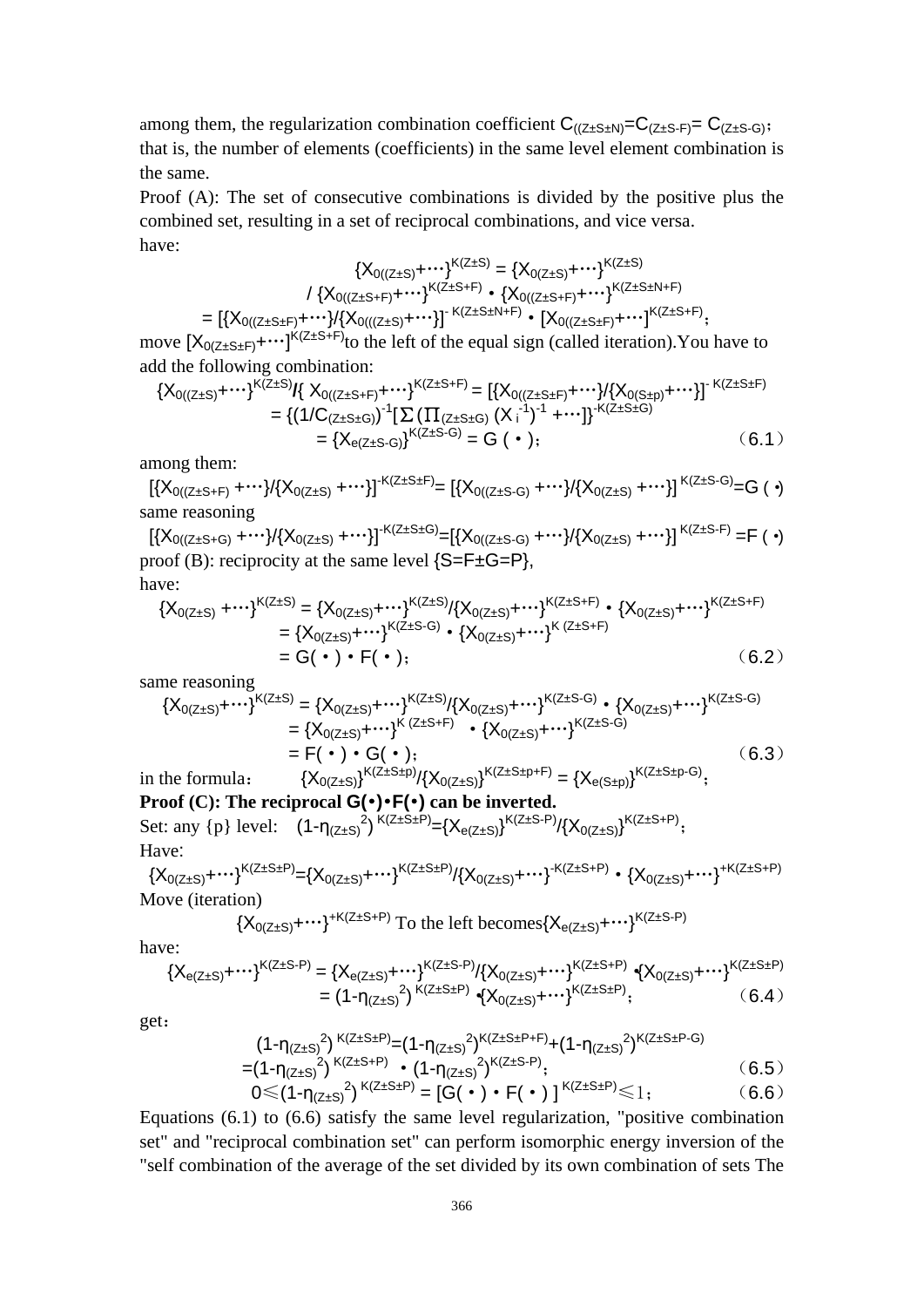among them, the regularization combination coefficient  $C_{((Z \pm S \pm N)} = C_{(Z \pm S \pm F)} = C_{(Z \pm S \pm G)}$ ; that is, the number of elements (coefficients) in the same level element combination is the same.

Proof (A): The set of consecutive combinations is divided by the positive plus the combined set, resulting in a set of reciprocal combinations, and vice versa. have:

$$
\{X_{0((Z\pm S)}+\cdots\}^{K(Z\pm S)} = \{X_{0(Z\pm S)}+\cdots\}^{K(Z\pm S)}
$$
\n
$$
/ \{X_{0((Z\pm S+F)}+\cdots\}^{K(Z\pm S+F)} \cdot \{X_{0((Z\pm S+F)}+\cdots\}^{K(Z\pm S\pm N+F)}\}
$$
\n
$$
= [\{X_{0((Z\pm S\pm F)}+\cdots\}]\{X_{0(((Z\pm S)}+\cdots\}]^{K(Z\pm S\pm N+F)} \cdot [X_{0((Z\pm S\pm F)}+\cdots]^{K(Z\pm S\pm F)}];
$$

move  $[X_{0(Z \pm S \pm F)} + \cdots]^{K(Z \pm S + F)}$  to the left of the equal sign (called iteration). You have to add the following combination:

$$
\begin{aligned} \{X_{0((Z\pm S)} + \cdots\}^{K(Z\pm S)} & \{X_{0((Z\pm S+F)} + \cdots\}^{K(Z\pm S+F)} = \left[\{X_{0((Z\pm S\pm F)} + \cdots\}^{J}\left\{X_{0(S\pm p)} + \cdots\right\}\right]^{K(Z\pm S\pm F)} \\ &= \left\{\left(1/C_{(Z\pm S\pm G)}\right)^{-1}\left[\sum\left(\prod_{(Z\pm S\pm G)}\left(X_i^{-1}\right)^{-1} + \cdots\right]\right\}^{K(Z\pm S\pm G)}\right. \\ &= \left\{X_{e(Z\pm S\pm G)}\right\}^{K(Z\pm S\pm G)} = G \quad (\bullet \quad); \end{aligned} \tag{6.1}
$$

among them:

 $[{X_0}_{(Z\pm S+F)}+ \cdots]/[{X_0}_{(Z\pm S)}+ \cdots]]^{+K(Z\pm S\pm F)}=[{X_0}_{(Z\pm S\cdot G)}+ \cdots]/{X_0}_{(Z\pm S)}+ \cdots]]^{K(Z\pm S\cdot G)}=G$  ( •) same reasoning

 $[{X_0}_{((Z\pm S+G)}+ \cdots]\} {X_0}_{(Z\pm S)}+ \cdots\} ]^{-{\sf K}(Z\pm S\pm G)}\!\!=\!\! [{\{X_0}_{((Z\pm S\cdot G)}+ \cdots]\} {X_0}_{(Z\pm S)}+ \cdots\} ]^{\;{\sf K}(Z\pm S\cdot F)}\!=\!\! {\sf F}\;(\; \cdot)$ proof (B): reciprocity at the same level  $\{S = F \pm G = P\}$ , have:

$$
\{X_{0(Z\pm S)} + \cdots\}^{K(Z\pm S)} = \{X_{0(Z\pm S)} + \cdots\}^{K(Z\pm S)}/\{X_{0(Z\pm S)} + \cdots\}^{K(Z\pm S+F)} \cdot \{X_{0(Z\pm S)} + \cdots\}^{K(Z\pm S+F)}
$$
\n
$$
= \{X_{0(Z\pm S)} + \cdots\}^{K(Z\pm S-G)} \cdot \{X_{0(Z\pm S)} + \cdots\}^{K(Z\pm S+F)} \cdot \{X_{0(Z\pm S)} + \cdots\}^{K(Z\pm S+F)}
$$
\n
$$
= G(\cdot) \cdot F(\cdot); \tag{6.2}
$$

same reasoning

$$
\{X_{0(Z\pm S)} + \cdots\}^{K(Z\pm S)} = \{X_{0(Z\pm S)} + \cdots\}^{K(Z\pm S)}/\{X_{0(Z\pm S)} + \cdots\}^{K(Z\pm S\cdot G)} \cdot \{X_{0(Z\pm S)} + \cdots\}^{K(Z\pm S\cdot G)}
$$
\n
$$
= \{X_{0(Z\pm S)} + \cdots\}^{K(Z\pm S\mp F)} \cdot \{X_{0(Z\pm S)} + \cdots\}^{K(Z\pm S\cdot G)}
$$
\n
$$
= F(\cdot) \cdot G(\cdot); \qquad (6.3)
$$
\nin the formula: 
$$
\{X_{0(Z\pm S)}\}^{K(Z\pm S\pm p)}/\{X_{0(Z\pm S)}\}^{K(Z\pm S\pm p+F)} = \{X_{e(S\pm p)}\}^{K(Z\pm S\pm p-G)};
$$

**Proof (C): The reciprocal G(**•**)**•**F(**•**) can be inverted.** Set: any {p} level:  $(1-\eta_{(Z\pm S)})^{K(Z\pm S\pm P)} = {X_{e(Z\pm S)}}^{K(Z\pm S\mp P)} / {X_{0(Z\pm S)}}^{K(Z\pm S\mp P)}$ ; Have:

$$
{\{X_{0(Z\pm S)}+\cdots\}}^{K(Z\pm S\pm P)}={\{X_{0(Z\pm S)}+\cdots\}}^{K(Z\pm S\pm P)}/\{{X_{0(Z\pm S)}+\cdots\}}^{K(Z\pm S+P)} \bullet {\{X_{0(Z\pm S)}+\cdots\}}^{+K(Z\pm S+P)}
$$
   
Move (iteration)

$$
\{X_{0(Z\pm S)} +\cdots\}^{+K(Z\pm S+P)} \text{To the left becomes} \{X_{e(Z\pm S)} +\cdots\}^{K(Z\pm S-P)}
$$

have:

$$
\{X_{e(Z\pm S)} + \cdots\}^{K(Z\pm S\mp P)} = \{X_{e(Z\pm S)} + \cdots\}^{K(Z\pm S\mp P)} / \{X_{0(Z\pm S)} + \cdots\}^{K(Z\pm S\mp P)} \cdot \{X_{0(Z\pm S)} + \cdots\}^{K(Z\pm S\pm P)} \cdot \{X_{0(Z\pm S)} + \cdots\}^{K(Z\pm S\pm P)} \tag{6.4}
$$

get:

$$
(1-\eta_{(Z\pm S)}^2)^{K(Z\pm S\pm P)} = (1-\eta_{(Z\pm S)}^2)^{K(Z\pm S\pm P+F)} + (1-\eta_{(Z\pm S)}^2)^{K(Z\pm S\pm P-G)}
$$
  
\n=  $(1-\eta_{(Z\pm S)}^2)^{K(Z\pm S\mp P)} \cdot (1-\eta_{(Z\pm S)}^2)^{K(Z\pm S\mp P)};$  (6.5)  
\n $0 \le (1-\eta_{(Z\pm S)}^2)^{K(Z\pm S\pm P)} = [G(\cdot) \cdot F(\cdot)]^{K(Z\pm S\pm P)} \le 1;$  (6.6)

Equations (6.1) to (6.6) satisfy the same level regularization, "positive combination set" and "reciprocal combination set" can perform isomorphic energy inversion of the "self combination of the average of the set divided by its own combination of sets The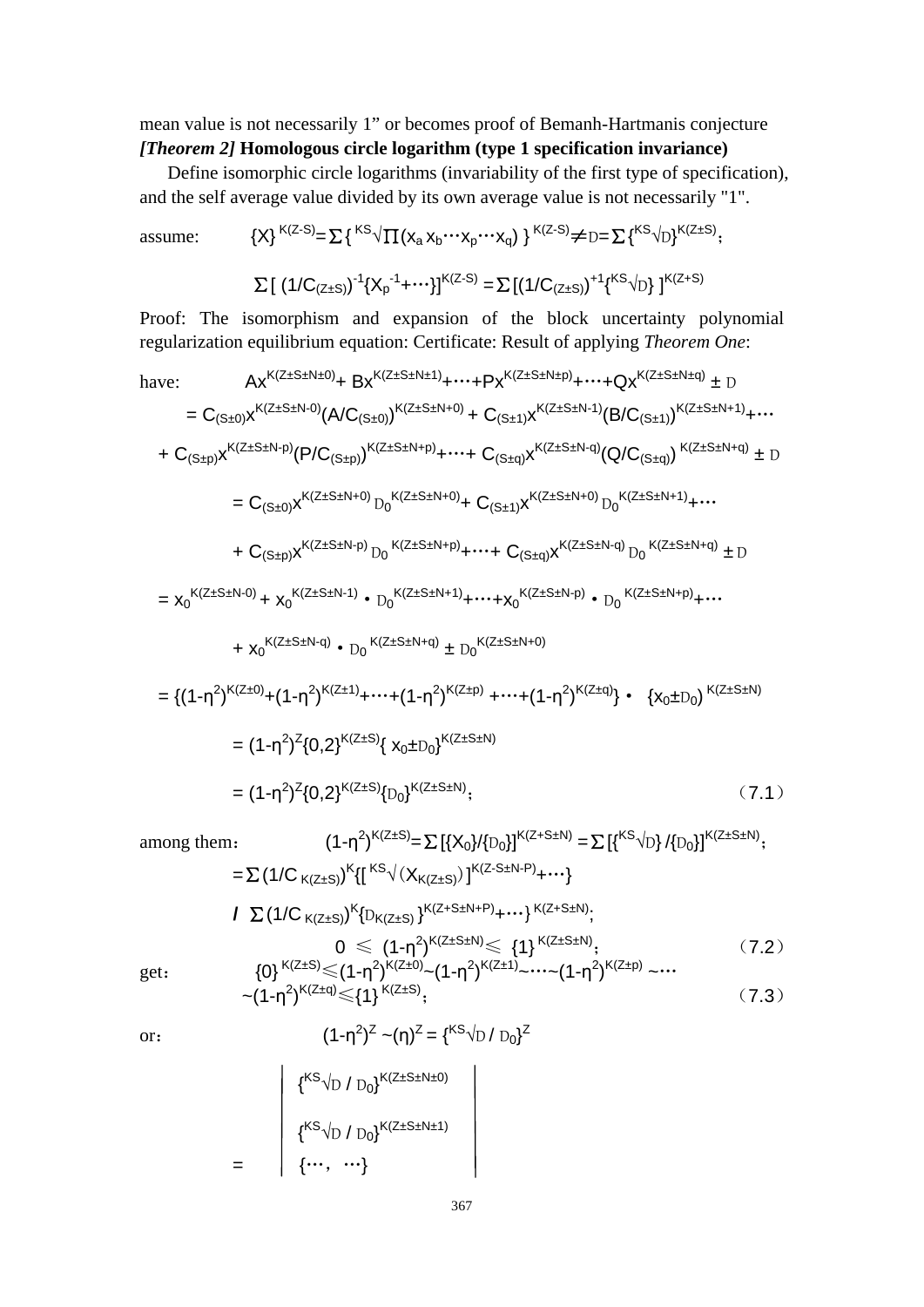mean value is not necessarily 1" or becomes proof of Bemanh-Hartmanis conjecture *[Theorem 2]* **Homologous circle logarithm (type 1 specification invariance)**

Define isomorphic circle logarithms (invariability of the first type of specification), and the self average value divided by its own average value is not necessarily "1".

assume:  $\{X\}^{K(Z-S)} = \sum {\{}^{KS}\sqrt{\prod (x_a x_b \cdots x_p \cdots x_q)}\}^{K(Z-S)} \neq D} = \sum {\{}^{KS}\sqrt{D}}^{K(Z+S)}$ ;

$$
\sum [\ (1/C_{(Z\pm S)})^{-1} \{X_p^{-1} + \cdots\}]^{K(Z-S)} = \sum [\ (1/C_{(Z\pm S)})^{+1} \{^{KS}\sqrt{D}\} \ ]^{K(Z+S)}
$$

Proof: The isomorphism and expansion of the block uncertainty polynomial regularization equilibrium equation: Certificate: Result of applying *Theorem One*:

have:  
\n
$$
Ax^{K(Z \pm S \pm N + 0)} + Bx^{K(Z \pm S \pm N + 1)} + \cdots + Px^{K(Z \pm S \pm N + p)} + \cdots + Qx^{K(Z \pm S \pm N + q)} \pm D
$$
\n
$$
= C_{(S \pm 0)}x^{K(Z \pm S \pm N - 0)}(A/C_{(S \pm 0)})^{K(Z \pm S \pm N + 0)} + C_{(S \pm 1)}x^{K(Z \pm S \pm N + 1)}(B/C_{(S \pm 1)})^{K(Z \pm S \pm N + 1)} + \cdots
$$
\n
$$
+ C_{(S \pm p)}x^{K(Z \pm S \pm N + p)}(P/C_{(S \pm p)})^{K(Z \pm S \pm N + p)} + \cdots + C_{(S \pm q)}x^{K(Z \pm S \pm N + q)}(Q/C_{(S \pm q)})^{K(Z \pm S \pm N + q)} \pm D
$$
\n
$$
= C_{(S \pm 0)}x^{K(Z \pm S \pm N + 0)}D_{0}^{K(Z \pm S \pm N + 0)} + C_{(S \pm 1)}x^{K(Z \pm S \pm N + 0)}D_{0}^{K(Z \pm S \pm N + 1)} + \cdots
$$
\n
$$
+ C_{(S \pm p)}x^{K(Z \pm S \pm N - p)}D_{0}^{K(Z \pm S \pm N + p)} + \cdots + C_{(S \pm q)}x^{K(Z \pm S \pm N - q)}D_{0}^{K(Z \pm S \pm N + q)} \pm D
$$
\n
$$
= x_{0}^{K(Z \pm S \pm N - 0)} + x_{0}^{K(Z \pm S \pm N - 1)} + D_{0}^{K(Z \pm S \pm N + 1)} + \cdots + x_{0}^{K(Z \pm S \pm N + 0)}
$$
\n
$$
+ x_{0}^{K(Z \pm S \pm N - q)} + D_{0}^{K(Z \pm S \pm N + q)} \pm D_{0}^{K(Z \pm S \pm N + 0)}
$$
\n
$$
= \{(1 - \eta^{2})^{K(Z \pm 0)} + (1 - \eta^{2})^{K(Z \pm 1)} + \cdots + (1 - \eta^{2})^{K(Z \pm p)} + \cdots + (1 - \eta^{2})^{K(Z \pm q)}\} + \{X_{0} \pm D_{0}\}^{K(Z \pm S \pm N + 1)}\}
$$
\n
$$
= (1 - \eta^{
$$

\n among them: \n 
$$
(1-\eta^2)^{K(Z\pm S)} = \sum \left[ \{X_0\}/\{D_0\} \right]^{K(Z+S\pm N)} = \sum \left[ \{^{KS}\sqrt{D}\}/\{D_0\} \right]^{K(Z\pm S\pm N)};
$$
\n

\n\n $= \sum (1/C_{K(Z\pm S)})^K \left\{ \left[ \frac{^{KS}\sqrt{X_{K(Z\pm S)}}}{^{K(Z\pm S)}} \right]^{K(Z+S\pm N+P)} + \cdots \right\}^{K(Z+S\pm N)};$ \n

\n\n $I \sum (1/C_{K(Z\pm S)})^K \left\{ D_{K(Z\pm S)} \right\}^{K(Z+S\pm N+P)} + \cdots \right\}^{K(Z+S\pm N)};$ \n

\n\n $Q \leq (1-\eta^2)^{K(Z\pm S\pm N)} \leq \{1\}^{K(Z\pm S\pm N)};$ \n

\n\n $Q \leq (1-\eta^2)^{K(Z\pm 0)} - (1-\eta^2)^{K(Z\pm 1)} - \cdots - (1-\eta^2)^{K(Z\pm p)} - \cdots$ \n

\n\n (7.2)\n

get: 
$$
\{0\}^{K(Z\pm S)} \leq (1-\eta^2)^{K(Z\pm 0)} - (1-\eta^2)^{K(Z\pm 1)} - \cdots - (1-\eta^2)^{K(Z\pm p)} - \cdots
$$
  
\n
$$
\sim (1-\eta^2)^{K(Z\pm q)} \leq (1)^{K(Z\pm S)};
$$
 (7.3)

or: 
$$
(1-\eta^2)^Z \sim (\eta)^Z = \{^{KS} \sqrt{D} / D_0\}^Z
$$

$$
\begin{pmatrix}\n\{\kappa S \sqrt{D} / D_0\}^{K(Z \pm S \pm N \pm 0)} \\
\{\kappa S \sqrt{D} / D_0\}^{K(Z \pm S \pm N \pm 1)} \\
\{\cdots, \cdots\}\n\end{pmatrix}
$$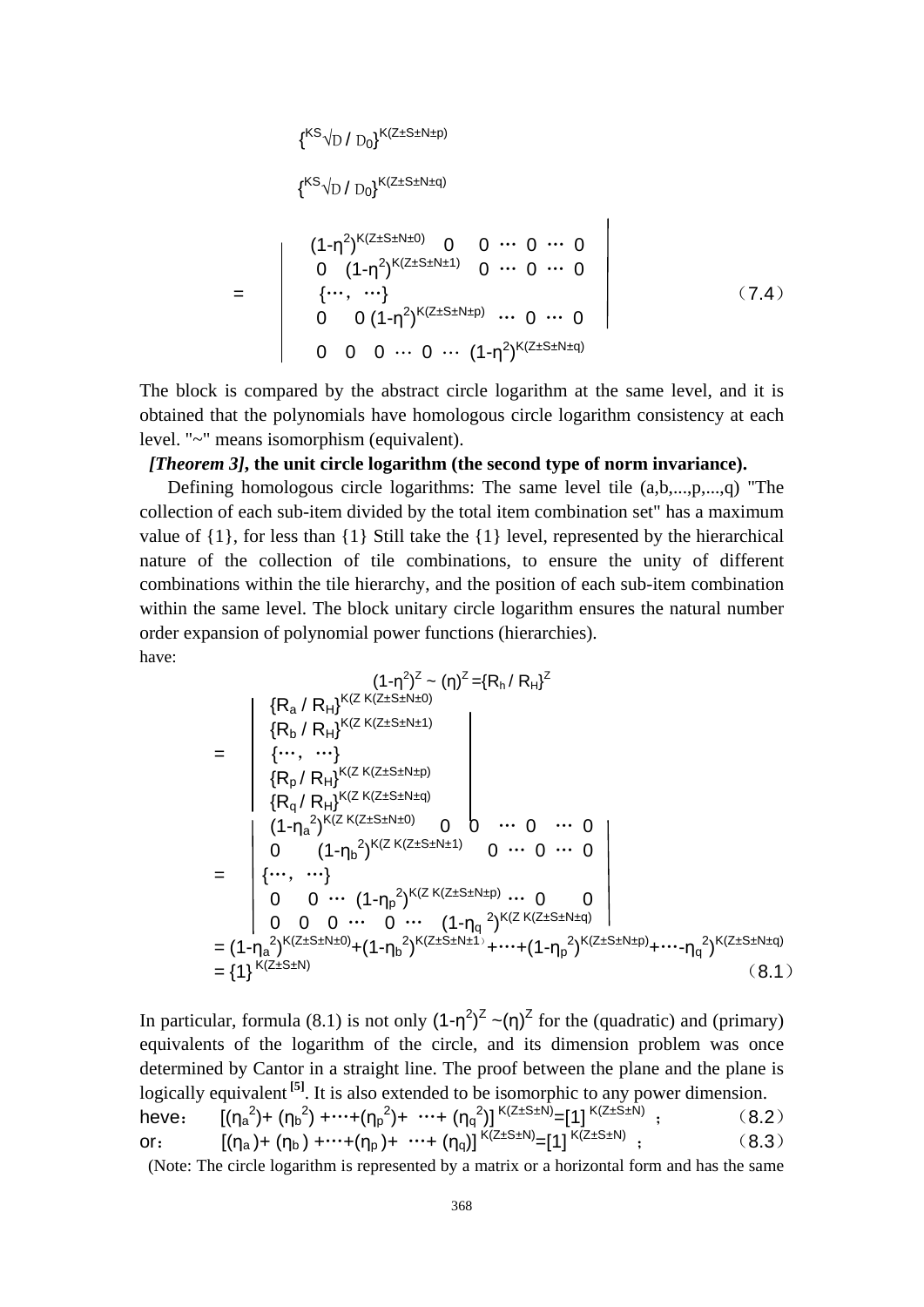$$
\left\{{}^{\text{KS}}\!\!\sqrt{\text{D}}\,/\,\text{D}_0\right\}^{\text{K}\left(\text{Z} \pm \text{S} \pm \text{N} \pm \text{p}\right)}
$$

$$
\textbf{\{}^{\text{KS}}\text{VD}\text{ / }D_{0}\textbf{\}}^{\text{K(Z\pm S\pm N\pm q)}}
$$

$$
= \begin{pmatrix} (1-\eta^{2})^{K(Z+S+N\pm 0)} & 0 & 0 & \cdots & 0 & \cdots & 0 \\ 0 & (1-\eta^{2})^{K(Z+S+N\pm 1)} & 0 & \cdots & 0 & \cdots & 0 \\ \cdots & \cdots & \cdots & \cdots & \cdots & \cdots & \cdots & \cdots & \cdots \\ 0 & 0 & (1-\eta^{2})^{K(Z+S+N\pm p)} & \cdots & 0 & \cdots & 0 \\ 0 & 0 & 0 & \cdots & 0 & \cdots & (1-\eta^{2})^{K(Z+S+N\pm q)} \end{pmatrix}
$$
(7.4)

The block is compared by the abstract circle logarithm at the same level, and it is obtained that the polynomials have homologous circle logarithm consistency at each level. "~" means isomorphism (equivalent).

## *[Theorem 3]***, the unit circle logarithm (the second type of norm invariance).**

Defining homologous circle logarithms: The same level tile (a,b,...,p,...,q) "The collection of each sub-item divided by the total item combination set" has a maximum value of {1}, for less than {1} Still take the {1} level, represented by the hierarchical nature of the collection of tile combinations, to ensure the unity of different combinations within the tile hierarchy, and the position of each sub-item combination within the same level. The block unitary circle logarithm ensures the natural number order expansion of polynomial power functions (hierarchies). have:

$$
(1-\eta^{2})^{Z} \sim (\eta)^{Z} = \{R_{h}/ R_{H}\}^{Z}
$$
\n
$$
= \begin{vmatrix}\n\{R_{a}/ R_{H}\}^{K(Z K(Z \pm S \pm N \pm 0)} \\
\{R_{b}/ R_{H}\}^{K(Z K(Z \pm S \pm N \pm 1)} \\
\{R_{p}/ R_{H}\}^{K(Z K(Z \pm S \pm N \pm p)}) \\
\{R_{q}/ R_{H}\}^{K(Z K(Z \pm S \pm N \pm q)} \\
\{R_{q}/ R_{H}\}^{K(Z K(Z \pm S \pm N \pm q)})\n\end{vmatrix} \quad \text{or} \quad 0 \quad \cdots \quad 0
$$
\n
$$
= \begin{vmatrix}\n(1-\eta_{a}^{2})^{K(Z K(Z \pm S \pm N \pm 1)} & 0 & \cdots & 0 & \cdots & 0 \\
\cdots & \cdots & \cdots & \cdots & \cdots & \cdots & \cdots & \cdots & \cdots \\
0 & 0 & \cdots & (1-\eta_{p}^{2})^{K(Z K(Z \pm S \pm N \pm p)} & \cdots & 0 & 0 \\
0 & 0 & \cdots & 0 & \cdots & (1-\eta_{q}^{2})^{K(Z K(Z \pm S \pm N \pm q)} \\
0 & 0 & \cdots & 0 & \cdots & (1-\eta_{q}^{2})^{K(Z K(Z \pm S \pm N \pm q)}\n\end{vmatrix} = (1-\eta_{a}^{2})^{K(Z \pm S \pm N \pm 0)} + (1-\eta_{b}^{2})^{K(Z \pm S \pm N \pm 1)} + \cdots + (1-\eta_{p}^{2})^{K(Z \pm S \pm N \pm p)} + \cdots - \eta_{q}^{2})^{K(Z \pm S \pm N \pm q)} \quad (8.1)
$$

In particular, formula (8.1) is not only  $(1-\eta^2)^2$   $\sim (\eta)^2$  for the (quadratic) and (primary) equivalents of the logarithm of the circle, and its dimension problem was once determined by Cantor in a straight line. The proof between the plane and the plane is logically equivalent **[5]**. It is also extended to be isomorphic to any power dimension. heve:  $[(\eta_a^2) + (\eta_b^2) + \cdots + (\eta_p^2) + \cdots + (\eta_q^2)]^{K(Z \pm S \pm N)} = [1]^{K(Z \pm S \pm N)}$ ; (8.2) or:  $[(\eta_a) + (\eta_b) + \cdots + (\eta_p) + \cdots + (\eta_q)]^{K(Z \pm S \pm N)} = [1]^{K(Z \pm S \pm N)}$ ; (8.3)

(Note: The circle logarithm is represented by a matrix or a horizontal form and has the same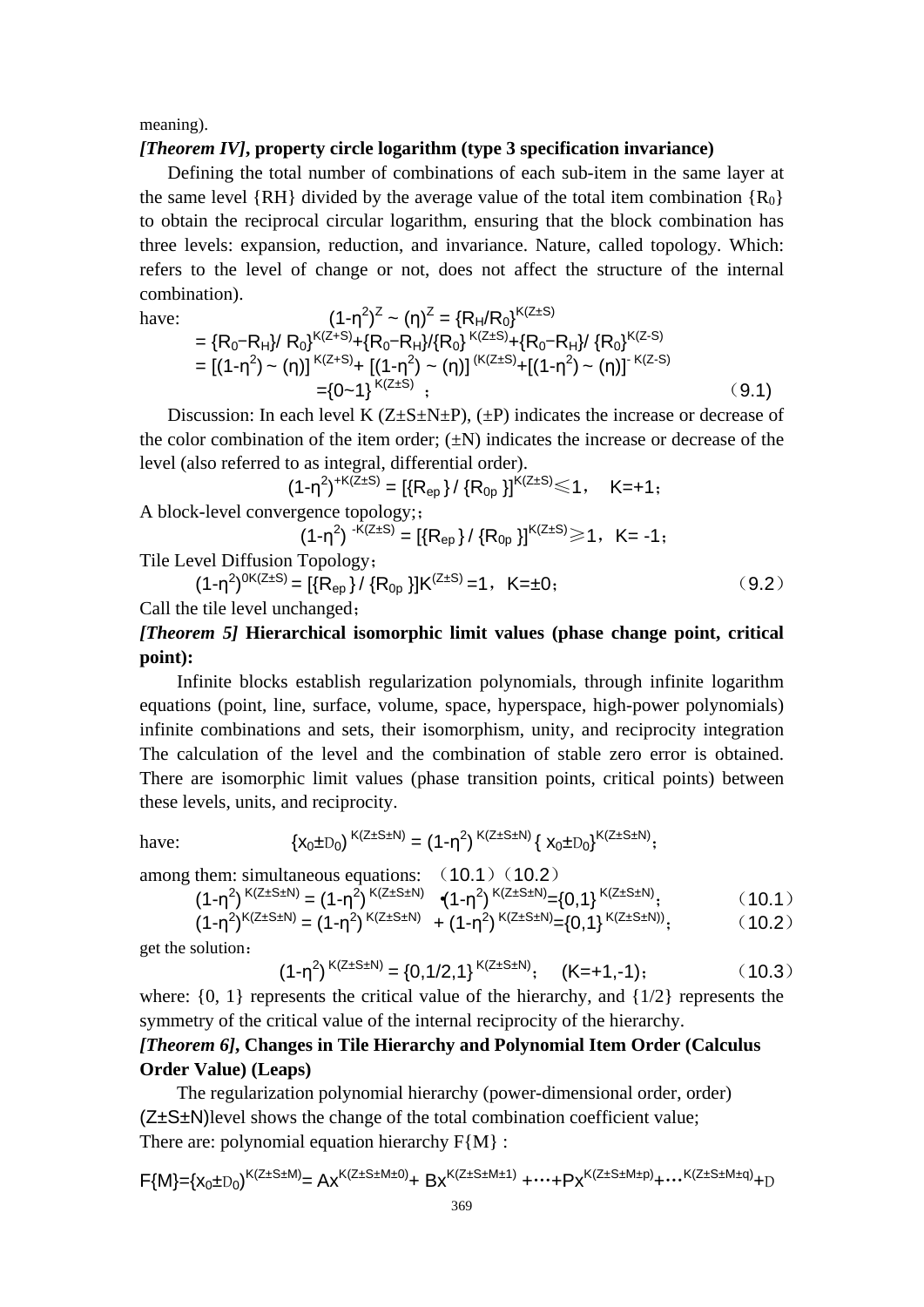meaning).

#### *[Theorem IV]***, property circle logarithm (type 3 specification invariance)**

Defining the total number of combinations of each sub-item in the same layer at the same level {RH} divided by the average value of the total item combination { $R_0$ } to obtain the reciprocal circular logarithm, ensuring that the block combination has three levels: expansion, reduction, and invariance. Nature, called topology. Which: refers to the level of change or not, does not affect the structure of the internal combination).

have:  
\n
$$
(1-\eta^{2})^{Z} \sim (\eta)^{Z} = \{R_{H}/R_{0}\}^{K(Z+S)}
$$
\n
$$
= \{R_{0}-R_{H}\}/R_{0}\}^{K(Z+S)} + \{R_{0}-R_{H}\}/\{R_{0}\}^{K(Z+S)} + \{R_{0}-R_{H}\}/\{R_{0}\}^{K(Z-S)}
$$
\n
$$
= [(1-\eta^{2}) \sim (\eta)]^{K(Z+S)} + [(1-\eta^{2}) \sim (\eta)]^{K(Z+S)} + [(1-\eta^{2}) \sim (\eta)]^{K(Z-S)}
$$
\n
$$
= \{0 \sim 1\}^{K(Z+S)} ; \qquad (9.1)
$$

Discussion: In each level K  $(Z \pm S \pm N \pm P)$ ,  $(\pm P)$  indicates the increase or decrease of the color combination of the item order;  $(\pm N)$  indicates the increase or decrease of the level (also referred to as integral, differential order).

 $(1-\eta^2)^{+K(Z\pm S)} = [\{R_{ep}\}/\{R_{0p}\}]^{K(Z\pm S)} \leq 1, \quad K = +1;$ A block-level convergence topology;;

 $(1-\eta^2)^{-K(Z\pm S)} = [\{R_{ep}\}/\{R_{0p}\}]^{K(Z\pm S)} \ge 1, K= -1;$ 

Tile Level Diffusion Topology;

 $(1-\eta^2)^{0K(Z\pm S)} = \left[\left\{R_{ep}\right\}/\left\{R_{0p}\right\}\right]K^{(Z\pm S)} = 1, K=\pm 0;$  (9.2)

Call the tile level unchanged;

# *[Theorem 5]* **Hierarchical isomorphic limit values (phase change point, critical point):**

Infinite blocks establish regularization polynomials, through infinite logarithm equations (point, line, surface, volume, space, hyperspace, high-power polynomials) infinite combinations and sets, their isomorphism, unity, and reciprocity integration The calculation of the level and the combination of stable zero error is obtained. There are isomorphic limit values (phase transition points, critical points) between these levels, units, and reciprocity.

have: 
$$
\{x_0 \pm D_0\}^{K(Z \pm S \pm N)} = (1 - \eta^2)^{K(Z \pm S \pm N)} \{x_0 \pm D_0\}^{K(Z \pm S \pm N)};
$$

among them: simultaneous equations: 
$$
(10.1) (10.2)
$$

$$
(1 - \eta^2)^{K(Z \pm S \pm N)} = (1 - \eta^2)^{K(Z \pm S \pm N)} \quad (1 - \eta^2)^{K(Z \pm S \pm N)} = \{0, 1\}^{K(Z \pm S \pm N)}; \tag{10.1}
$$

$$
(1-\eta^2)^{K(Z\pm S\pm N)} = (1-\eta^2)^{K(Z\pm S\pm N)} + (1-\eta^2)^{K(Z\pm S\pm N)} = \{0,1\}^{K(Z\pm S\pm N)};
$$
 (10.2)

get the solution:

$$
(1-\eta^2)^{K(Z\pm S\pm N)} = \{0,1/2,1\}^{K(Z\pm S\pm N)}; \quad (K=+1,-1); \tag{10.3}
$$

where:  $\{0, 1\}$  represents the critical value of the hierarchy, and  $\{1/2\}$  represents the symmetry of the critical value of the internal reciprocity of the hierarchy.

# *[Theorem 6]***, Changes in Tile Hierarchy and Polynomial Item Order (Calculus Order Value) (Leaps)**

The regularization polynomial hierarchy (power-dimensional order, order) (Z±S±N)level shows the change of the total combination coefficient value; There are: polynomial equation hierarchy  $F{M}$  :

$$
F\{M\} = (x_0 \pm D_0)^{K(Z \pm S \pm M)} = Ax^{K(Z \pm S \pm M \pm 0)} + Bx^{K(Z \pm S \pm M \pm 1)} + \cdots + Py^{K(Z \pm S \pm M \pm p)} + \cdots^{K(Z \pm S \pm M \pm q)} + D
$$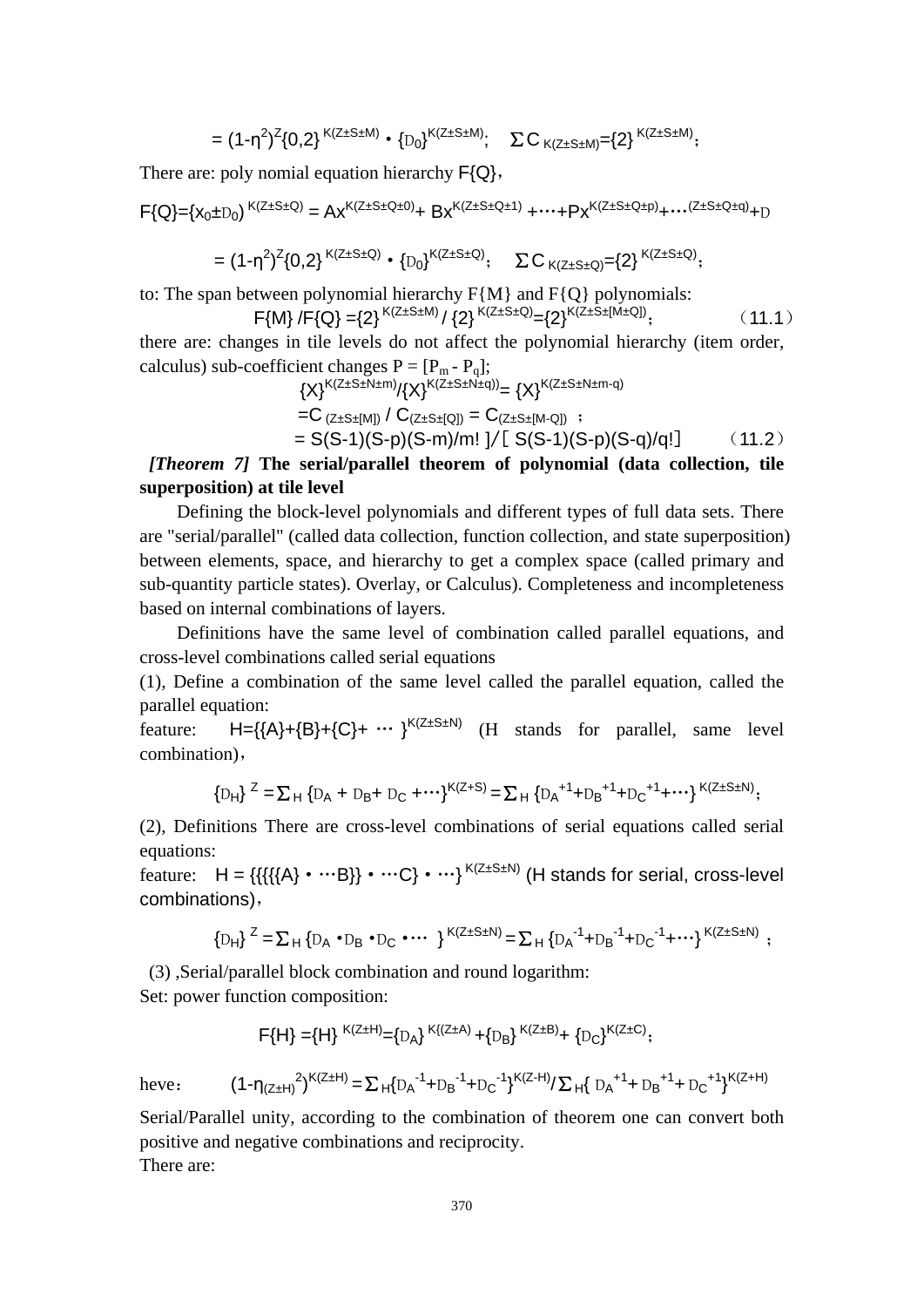$$
= (1-\eta^2)^{Z} \{0,2\}^{K(Z \pm S \pm M)} \cdot \{D_0\}^{K(Z \pm S \pm M)}; \quad \Sigma C_{K(Z \pm S \pm M)} = \{2\}^{K(Z \pm S \pm M)};
$$

There are: poly nomial equation hierarchy  $F\{Q\}$ ,

$$
F\{Q\} = \{x_0 \pm D_0\}^{K(Z \pm S \pm Q)} = Ax^{K(Z \pm S \pm Q \pm 0)} + Bx^{K(Z \pm S \pm Q \pm 1)} + \cdots + Px^{K(Z \pm S \pm Q \pm p)} + \cdots^{(Z \pm S \pm Q \pm q)} + D
$$

$$
= (1-\eta^2)^Z \{0,2\}^{K(Z\pm S\pm Q)} \cdot \{D_0\}^{K(Z\pm S\pm Q)}; \quad \Sigma \, C_{K(Z\pm S\pm Q)} = \{2\}^{K(Z\pm S\pm Q)};
$$

to: The span between polynomial hierarchy  $F{M}$  and  $F{Q}$  polynomials:

$$
F\{M\} / F\{Q\} = \{2\}^{K(Z \pm S \pm M)} / \{2\}^{K(Z \pm S \pm Q)} = \{2\}^{K(Z \pm S \pm [M \pm Q])};
$$
(11.1)

there are: changes in tile levels do not affect the polynomial hierarchy (item order, calculus) sub-coefficient changes  $P = [P_m - P_q]$ ;

$$
{X}^{K(Z \pm S \pm N \pm m)}/{X}^{K(Z \pm S \pm N \pm q)} = {X}^{K(Z \pm S \pm N \pm m \cdot q)}
$$
  
=C (z \pm s \pm [M]) / C (z \pm s \pm [Q]) = C (z \pm s \pm [M \cdot Q]) ;  
= S(S-1)(S-p)(S-m)/m! J/[ S(S-1)(S-p)(S-q)/q!] (11.2)

*[Theorem 7]* **The serial/parallel theorem of polynomial (data collection, tile superposition) at tile level**

Defining the block-level polynomials and different types of full data sets. There are "serial/parallel" (called data collection, function collection, and state superposition) between elements, space, and hierarchy to get a complex space (called primary and sub-quantity particle states). Overlay, or Calculus). Completeness and incompleteness based on internal combinations of layers.

Definitions have the same level of combination called parallel equations, and cross-level combinations called serial equations

(1), Define a combination of the same level called the parallel equation, called the parallel equation:

feature:  $H = \{\{A\} + \{B\} + \{C\} + \cdots\}^{K(Z \pm S \pm N)}$  (H stands for parallel, same level combination),

$$
{D_H}^Z = \sum_H {D_A + D_B + D_C + \cdots}^{K(Z+S)} = \sum_H {D_A}^{+1} + D_B^{+1} + D_C^{+1} + \cdots
$$

(2), Definitions There are cross-level combinations of serial equations called serial equations:

feature:  $H = \{ \{ \{ \{ \} \} \cdot \cdots \} \cdot \cdots \}^{K(Z \pm S \pm N)}$  (H stands for serial, cross-level combinations),

$$
\{D_H\}^Z = \sum_H \{D_A \cdot D_B \cdot D_C \cdot \cdots \}^{K(Z \pm S \pm N)} = \sum_H \{D_A^{-1} + D_B^{-1} + D_C^{-1} + \cdots \}^{K(Z \pm S \pm N)} ;
$$

(3) ,Serial/parallel block combination and round logarithm:

Set: power function composition:

$$
\mathsf{F}\{H\}=\!\!\{\mathsf{H}\}^{\mathsf{K}(Z\pm H)}\!\!=\!\!\{ \mathsf{D}_{\mathsf{A}}\}^{\mathsf{K}\{(Z\pm\mathsf{A})}\!+\!\{\mathsf{D}_{\mathsf{B}}\}^{\mathsf{K}(Z\pm\mathsf{B})}\!\!+\!\{\mathsf{D}_{\mathsf{C}}\}^{\mathsf{K}(Z\pm\mathsf{C})};
$$

heve:  $(1-\eta_{(Z\pm H)}^2)^{K(Z\pm H)} = \sum_{H}^{\{D_A}^{-1}+D_B^{-1}+D_C^{-1}\}^{K(Z-H)} / \sum_{H}^{\{D_A}^{-1}+D_B^{-1}+D_C^{-1}\}^{K(Z+H)}$ 

Serial/Parallel unity, according to the combination of theorem one can convert both positive and negative combinations and reciprocity.

There are: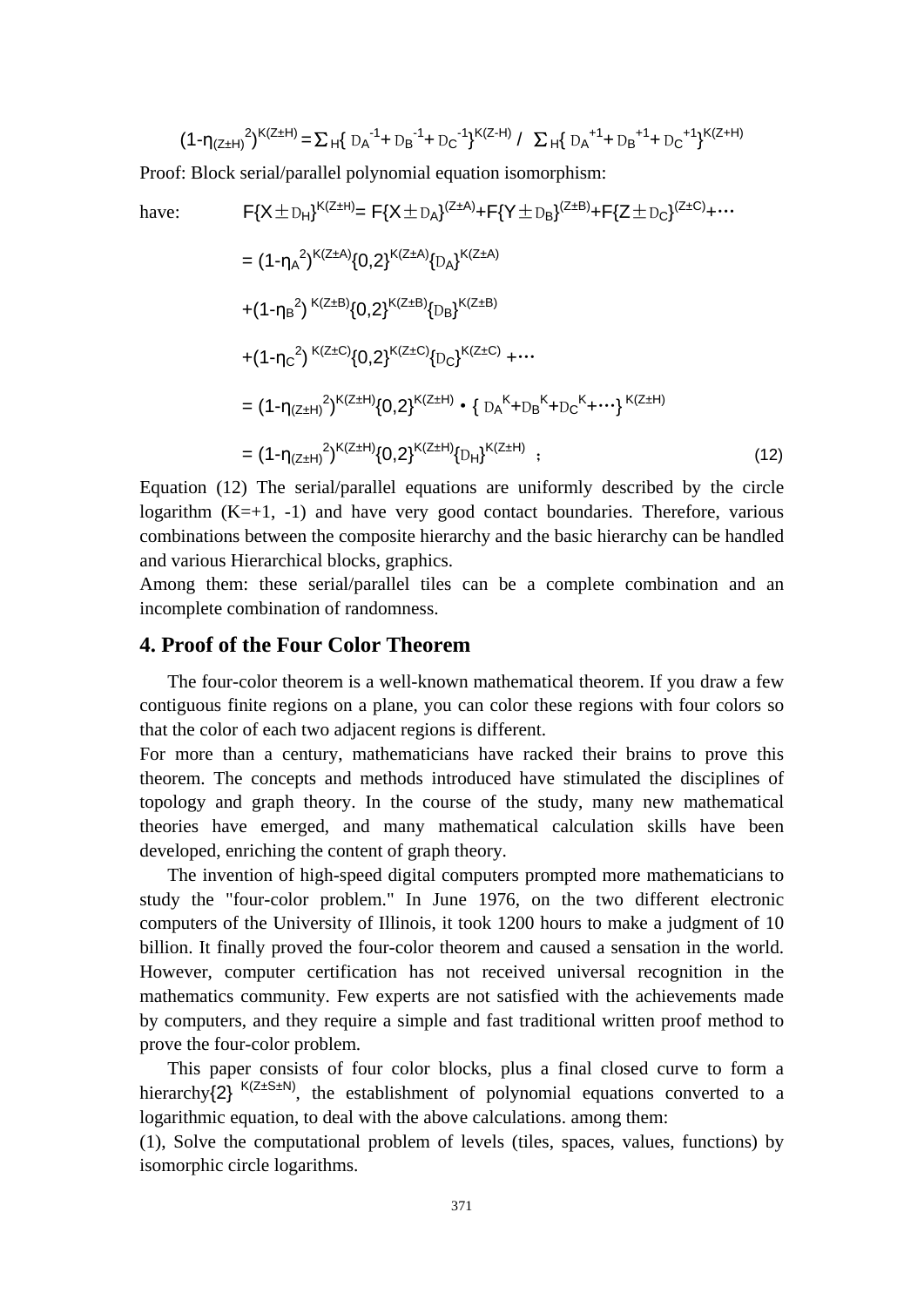$$
(1-\eta_{(Z\pm H)}{}^2)^{K(Z\pm H)} = \sum_{H} \{ D_A{}^{-1} + D_B{}^{-1} + D_C{}^{-1} \}^{K(Z-H)} / \sum_{H} \{ D_A{}^{+1} + D_B{}^{+1} + D_C{}^{+1} \}^{K(Z+H)}
$$

Proof: Block serial/parallel polynomial equation isomorphism:

have: 
$$
F\{X \pm D_H\}^{K(Z \pm H)} = F\{X \pm D_A\}^{(Z \pm A)} + F\{Y \pm D_B\}^{(Z \pm B)} + F\{Z \pm D_C\}^{(Z \pm C)} + \cdots
$$

$$
= (1 - \eta_A^2)^{K(Z \pm A)} \{0, 2\}^{K(Z \pm A)} \{D_A\}^{K(Z \pm A)}
$$

$$
+ (1 - \eta_B^2)^{K(Z \pm B)} \{0, 2\}^{K(Z \pm B)} \{D_B\}^{K(Z \pm B)}
$$

$$
+ (1 - \eta_C^2)^{K(Z \pm C)} \{0, 2\}^{K(Z \pm C)} \{D_C\}^{K(Z \pm C)} + \cdots
$$

$$
= (1 - \eta_{(Z \pm H)}^2)^{K(Z \pm H)} \{0, 2\}^{K(Z \pm H)} \cdot \{D_A^K + D_B^K + D_C^K + \cdots\}^{K(Z \pm H)}
$$

$$
= (1 - \eta_{(Z \pm H)}^2)^{K(Z \pm H)} \{0, 2\}^{K(Z \pm H)} \{D_H\}^{K(Z \pm H)}, \qquad (12)
$$

Equation (12) The serial/parallel equations are uniformly described by the circle logarithm  $(K=+1, -1)$  and have very good contact boundaries. Therefore, various combinations between the composite hierarchy and the basic hierarchy can be handled and various Hierarchical blocks, graphics.

Among them: these serial/parallel tiles can be a complete combination and an incomplete combination of randomness.

## **4. Proof of the Four Color Theorem**

The four-color theorem is a well-known mathematical theorem. If you draw a few contiguous finite regions on a plane, you can color these regions with four colors so that the color of each two adjacent regions is different.

For more than a century, mathematicians have racked their brains to prove this theorem. The concepts and methods introduced have stimulated the disciplines of topology and graph theory. In the course of the study, many new mathematical theories have emerged, and many mathematical calculation skills have been developed, enriching the content of graph theory.

The invention of high-speed digital computers prompted more mathematicians to study the "four-color problem." In June 1976, on the two different electronic computers of the University of Illinois, it took 1200 hours to make a judgment of 10 billion. It finally proved the four-color theorem and caused a sensation in the world. However, computer certification has not received universal recognition in the mathematics community. Few experts are not satisfied with the achievements made by computers, and they require a simple and fast traditional written proof method to prove the four-color problem.

This paper consists of four color blocks, plus a final closed curve to form a hierarchy $\{2\}^{K(Z \pm S \pm N)}$ , the establishment of polynomial equations converted to a logarithmic equation, to deal with the above calculations. among them:

(1), Solve the computational problem of levels (tiles, spaces, values, functions) by isomorphic circle logarithms.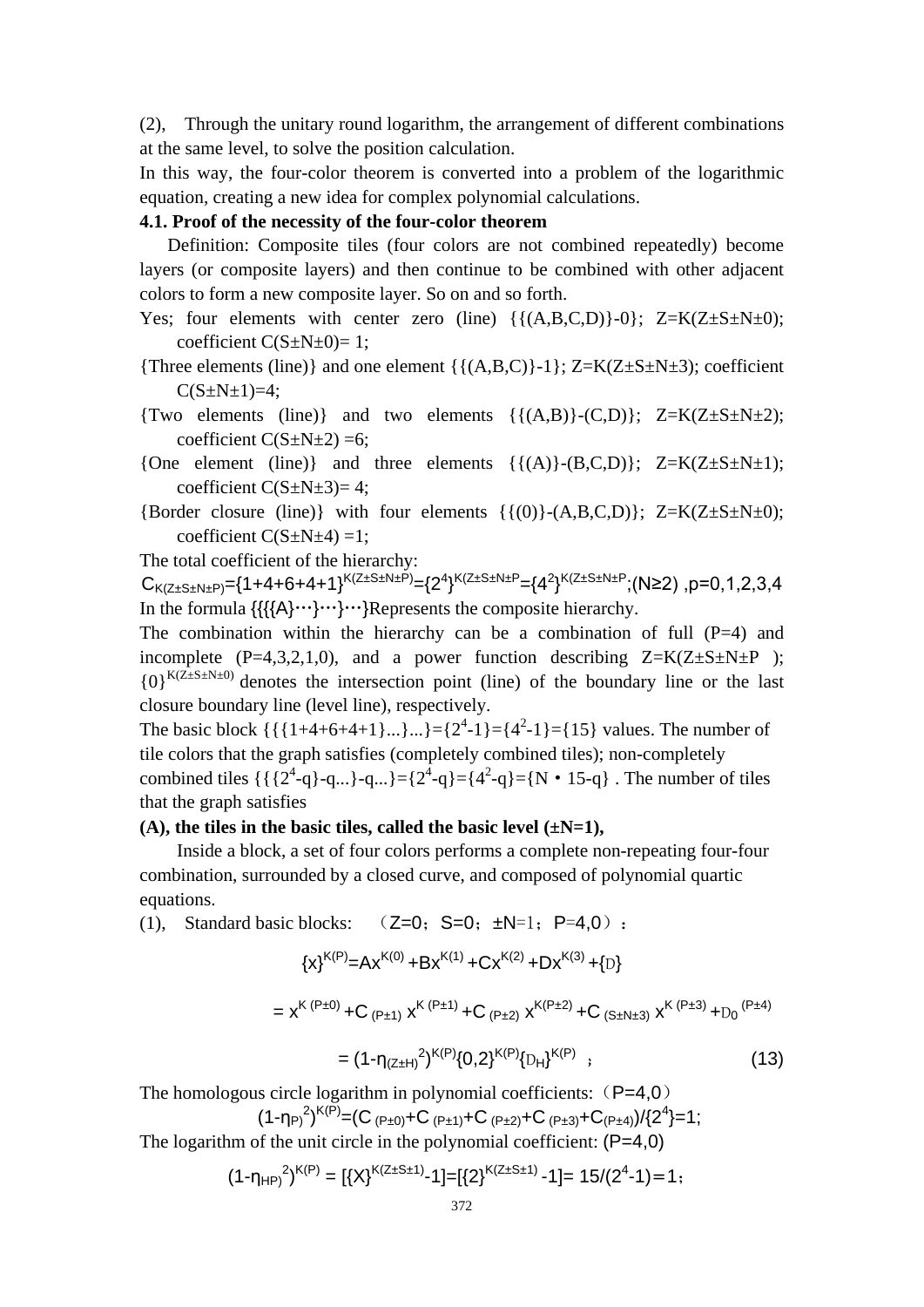(2), Through the unitary round logarithm, the arrangement of different combinations at the same level, to solve the position calculation.

In this way, the four-color theorem is converted into a problem of the logarithmic equation, creating a new idea for complex polynomial calculations.

## **4.1. Proof of the necessity of the four-color theorem**

Definition: Composite tiles (four colors are not combined repeatedly) become layers (or composite layers) and then continue to be combined with other adjacent colors to form a new composite layer. So on and so forth.

Yes; four elements with center zero (line)  $\{ \{ (A, B, C, D) \} - 0 \}$ ; Z=K(Z $\pm$ S $\pm$ N $\pm$ 0); coefficient  $C(S \pm N \pm 0)=1$ ;

{Three elements (line)} and one element { ${(A,B,C)}-1$ }; Z=K(Z $\pm$ S $\pm$ N $\pm$ 3); coefficient  $C(S \pm N \pm 1)=4;$ 

{Two elements (line)} and two elements  $({(A,B)}-{(C,D)}; Z=K(Z+S+N+2);$ coefficient  $C(S \pm N \pm 2) = 6$ ;

{One element (line)} and three elements  $\{\{(A)\}-(B,C,D)\};$  Z=K(Z $\pm$ S $\pm$ N $\pm$ 1); coefficient  $C(S \pm N \pm 3)=4$ ;

{Border closure (line)} with four elements  $\{\{(0)\}-(A,B,C,D)\}$ ; Z=K(Z $\pm$ S $\pm$ N $\pm$ 0); coefficient  $C(S \pm N \pm 4) = 1$ ;

The total coefficient of the hierarchy:

 $C_{K(Z\pm S\pm N\pm P)} =$ {1+4+6+4+1} $^{K(Z\pm S\pm N\pm P)}$ ={2<sup>4</sup>} $^{K(Z\pm S\pm N\pm P}$ ={4<sup>2</sup>} $^{K(Z\pm S\pm N\pm P};$ (N≥2),p=0,1,2,3,4 In the formula  $\{\{\{\mathsf{A}\}\}\cdots\} \cdots\}$ Represents the composite hierarchy.

The combination within the hierarchy can be a combination of full  $(P=4)$  and incomplete (P=4,3,2,1,0), and a power function describing  $Z=K(Z\pm S\pm N\pm P)$ ;  ${0}^{K(Z \pm S \pm N \pm 0)}$  denotes the intersection point (line) of the boundary line or the last closure boundary line (level line), respectively.

The basic block  $\{\{\{1+4+6+4+1\}...\}...\}=\{2^4-1\}=\{4^2-1\}=\{15\}$  values. The number of tile colors that the graph satisfies (completely combined tiles); non-completely combined tiles  $\{\{2^4-q\} - q...\} = \{2^4-q\} = \{4^2-q\} = \{N \cdot 15-q\}$ . The number of tiles that the graph satisfies

#### **(A), the tiles in the basic tiles, called the basic level (±N=1),**

Inside a block, a set of four colors performs a complete non-repeating four-four combination, surrounded by a closed curve, and composed of polynomial quartic equations.

(1), Standard basic blocks:  $(Z=0; S=0; \pm N=1; P=4,0)$ :

$$
{x}^{K(P)} = Ax^{K(0)} + Bx^{K(1)} + Cx^{K(2)} + Dx^{K(3)} + {D}
$$
  
=  $x^{K (P \pm 0)} + C_{(P \pm 1)} x^{K (P \pm 1)} + C_{(P \pm 2)} x^{K (P \pm 2)} + C_{(S \pm N \pm 3)} x^{K (P \pm 3)} + {D_0}^{(P \pm 4)}$   
=  $(1 - \eta_{(Z \pm H)}^2)^{K(P)} \{0, 2\}^{K(P)} \{D_H\}^{K(P)}$  (13)

The homologous circle logarithm in polynomial coefficients:  $(P=4,0)$ 

$$
(1-\eta_{P})^2)^{K(P)} = (C_{(P\pm 0)} + C_{(P\pm 1)} + C_{(P\pm 2)} + C_{(P\pm 3)} + C_{(P\pm 4)}) / \{2^4\} = 1;
$$

The logarithm of the unit circle in the polynomial coefficient:  $(P=4,0)$ 

$$
(1-\eta_{HP})^2^{K(P)} = [\{X\}^{K(Z \pm S \pm 1)} - 1] = [\{2\}^{K(Z \pm S \pm 1)} - 1] = 15/(2^4 - 1) = 1;
$$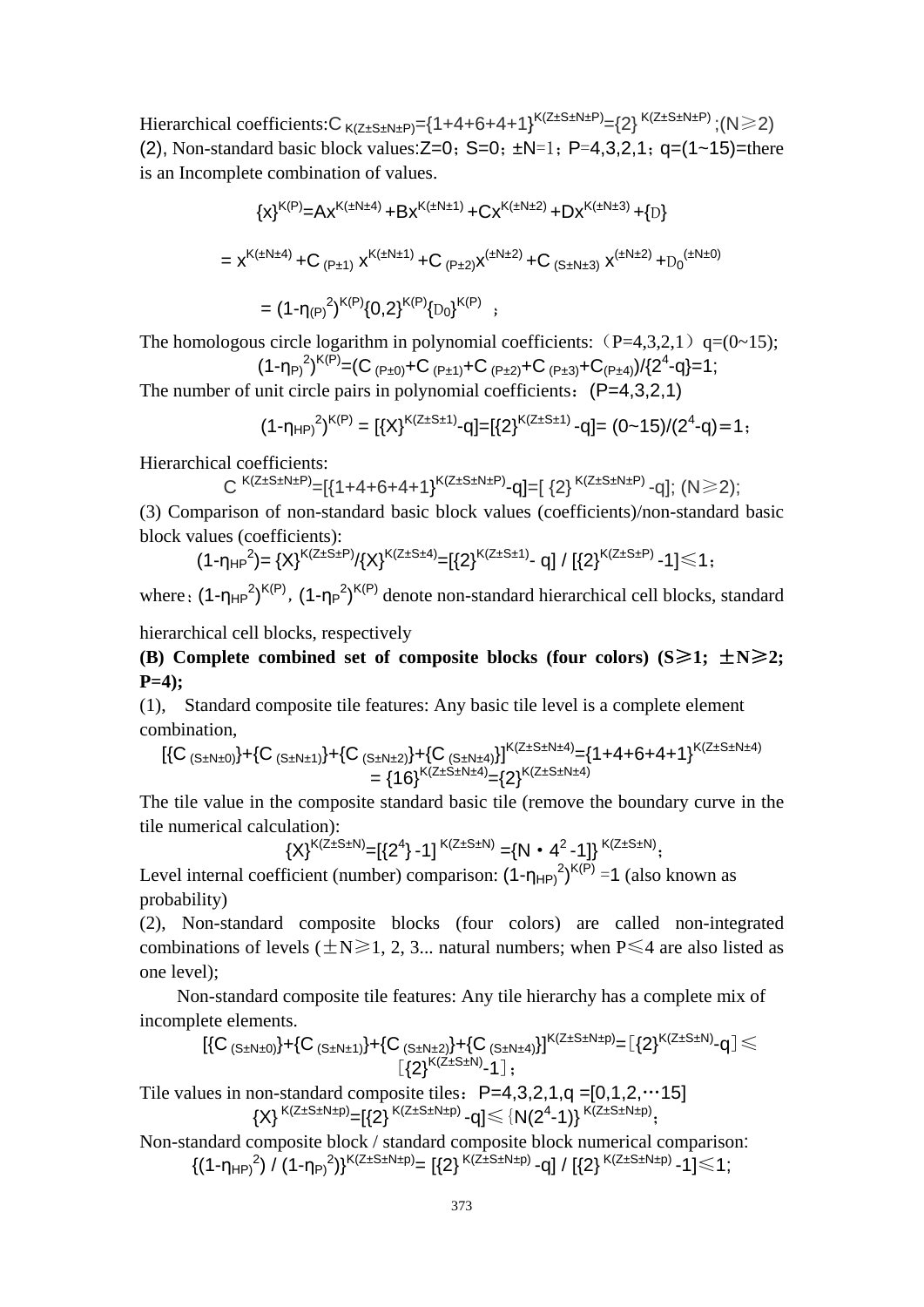Hierarchical coefficients: $C_{K(Z \pm S \pm N \pm P)} = \{1 + 4 + 6 + 4 + 1\}^{K(Z \pm S \pm N \pm P)} = \{2\}^{K(Z \pm S \pm N \pm P)}$ ;(N $\geq$ 2) (2), Non-standard basic block values:  $Z=0$ ;  $S=0$ ;  $\pm N=1$ ; P=4,3,2,1; q=(1~15)=there is an Incomplete combination of values.

$$
{x}^{K(P)} = Ax^{K(\pm N \pm 4)} + Bx^{K(\pm N \pm 1)} + Cx^{K(\pm N \pm 2)} + Dx^{K(\pm N \pm 3)} + {D}
$$
  
=  $x^{K(\pm N \pm 4)} + C_{(P \pm 1)} x^{K(\pm N \pm 1)} + C_{(P \pm 2)} x^{(\pm N \pm 2)} + C_{(S \pm N \pm 3)} x^{(\pm N \pm 2)} + D_0^{(\pm N \pm 0)}$   
=  $(1 - \eta_{(P)})^2)^{K(P)} \{0, 2\}^{K(P)} \{D_0\}^{K(P)},$ 

The homologous circle logarithm in polynomial coefficients:  $(P=4,3,2,1)$  q=(0~15);

$$
(1-\eta_{P})^2)^{K(P)} = (C_{(P\pm 0)} + C_{(P\pm 1)} + C_{(P\pm 2)} + C_{(P\pm 3)} + C_{(P\pm 4)}) / \{2^4 - q\} = 1;
$$

The number of unit circle pairs in polynomial coefficients:  $(P=4,3,2,1)$ 

$$
(1-\eta_{HP})^{2})^{K(P)} = [\{X\}^{K(Z \pm S \pm 1)} - q] = [\{2\}^{K(Z \pm S \pm 1)} - q] = (0-15)/(2^{4}-q) = 1;
$$

Hierarchical coefficients:

$$
C^{K(Z\pm S\pm N\pm P)}=[{1+4+6+4+1}^{K(Z\pm S\pm N\pm P)}-q]=[{2}^{K(Z\pm S\pm N\pm P)}-q]; (N\geq 2);
$$

(3) Comparison of non-standard basic block values (coefficients)/non-standard basic block values (coefficients):

$$
(1-\eta_{HP}^2) = {X}^{K(Z \pm S \pm P)}/ {X}^{K(Z \pm S \pm 4)} = [{2}^{K(Z \pm S \pm 1)} - q] / [{2}^{K(Z \pm S \pm P)} - 1] \le 1;
$$

where:  $(1-\eta_{HP}^2)^{K(P)}$ ,  $(1-\eta_P^2)^{K(P)}$  denote non-standard hierarchical cell blocks, standard

hierarchical cell blocks, respectively

**(B)** Complete combined set of composite blocks (four colors)  $(S \ge 1; \pm N \ge 2;$ **P=4);**

(1), Standard composite tile features: Any basic tile level is a complete element combination,

$$
[\{C_{(S\pm N\pm 0)}\}+\{C_{(S\pm N\pm 1)}\}+\{C_{(S\pm N\pm 2)}\}+\{C_{(S\pm N\pm 4)}\}]^{K(Z\pm S\pm N\pm 4)}=\{1+4+6+4+1\}^{K(Z\pm S\pm N\pm 4)}\\=\{16\}^{K(Z\pm S\pm N\pm 4)}=\{2\}^{K(Z\pm S\pm N\pm 4)}
$$

The tile value in the composite standard basic tile (remove the boundary curve in the tile numerical calculation):

$$
{X}^{K(Z\pm S\pm N)} = [{2^4} - 1]^{K(Z\pm S\pm N)} = {N \cdot 4^2 - 1}^K^{K(Z\pm S\pm N)},
$$

Level internal coefficient (number) comparison:  $(1-\eta_{HP})^2$ <sup>K(P)</sup> =1 (also known as probability)

(2), Non-standard composite blocks (four colors) are called non-integrated combinations of levels ( $\pm N \ge 1, 2, 3...$  natural numbers; when P $\le 4$  are also listed as one level);

Non-standard composite tile features: Any tile hierarchy has a complete mix of incomplete elements.

$$
\lbrack \{C_{(S\pm N\pm 0)}\} + \{C_{(S\pm N\pm 1)}\} + \{C_{(S\pm N\pm 2)}\} + \{C_{(S\pm N\pm 4)}\}\rbrack^{K(Z\pm S\pm N\pm p)} = \lbrack \{2\}^{K(Z\pm S\pm N)} - q \rbrack \leq \rbrack
$$

Tile values in non-standard composite tiles:  $P=4,3,2,1,q = [0,1,2,...15]$  ${X}^{\mathsf{K}(\mathsf{Z} \pm \mathsf{S} \pm \mathsf{N} \pm \mathsf{p})}$ = ${[\{2\}}^{\mathsf{K}(\mathsf{Z} \pm \mathsf{S} \pm \mathsf{N} \pm \mathsf{p})}$ -q] $\leqslant$  {N(2<sup>4</sup>-1)}<sup>K(Z±S±N±p)</sup>;

Non-standard composite block / standard composite block numerical comparison:  $\{(\texttt{1-η}_{HP})^2\}$  /  $(\texttt{1-η}_{P})^2\}^{{\sf K}(Z\pm {\rm S}\pm {\rm N}\pm {\rm p})}$  =  $[\{2\}^{\,{\sf K}(Z\pm {\rm S}\pm {\rm N}\pm {\rm p})}$  -q] /  $[\{2\}^{\,{\sf K}(Z\pm {\rm S}\pm {\rm N}\pm {\rm p})}$  -1] $\leqslant$  1;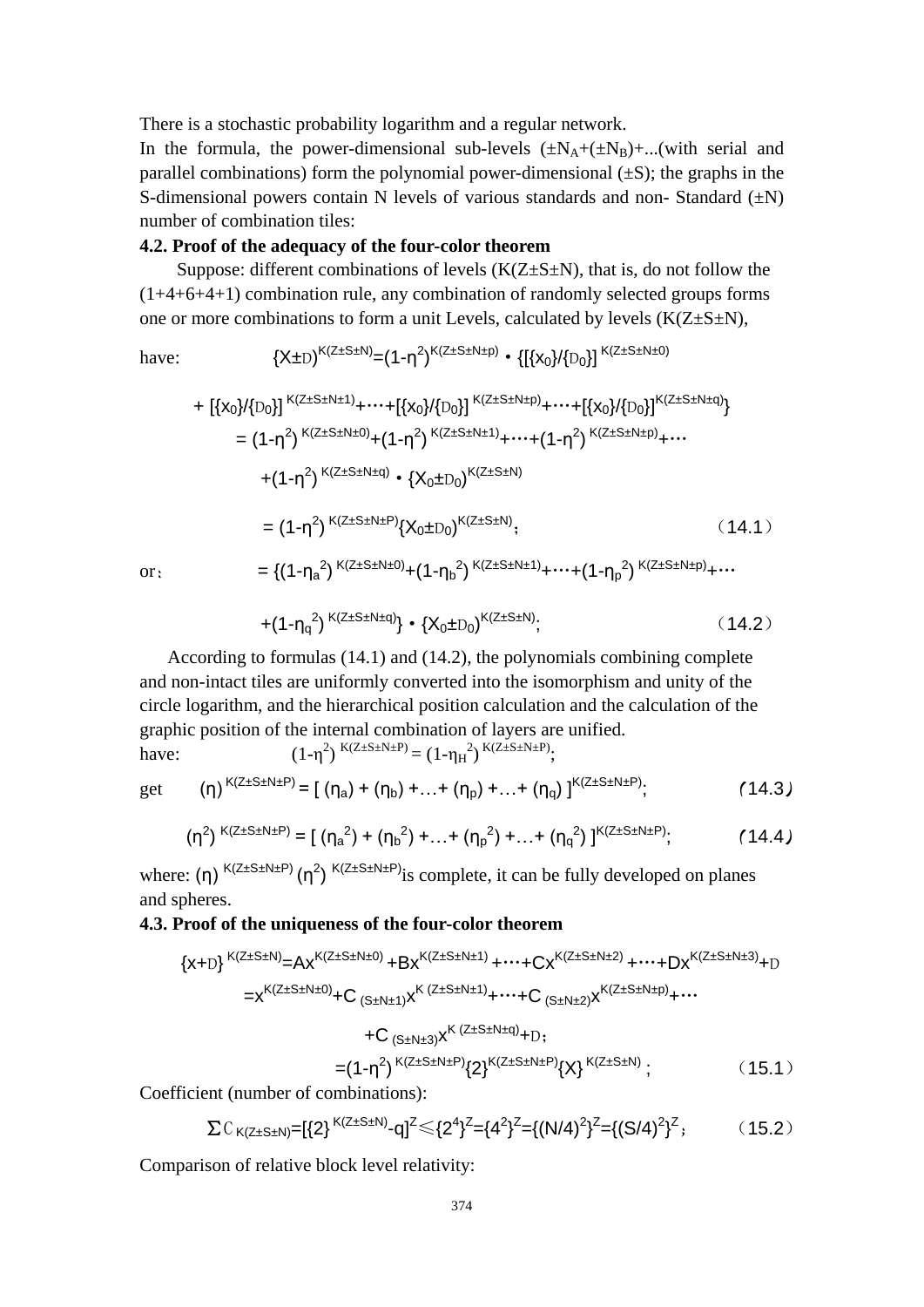There is a stochastic probability logarithm and a regular network.

In the formula, the power-dimensional sub-levels  $(\pm N_A + (\pm N_B) + ... (\text{with serial and}$ parallel combinations) form the polynomial power-dimensional  $(\pm S)$ ; the graphs in the S-dimensional powers contain N levels of various standards and non-Standard  $(\pm N)$ number of combination tiles:

## **4.2. Proof of the adequacy of the four-color theorem**

Suppose: different combinations of levels  $(K(Z \pm S \pm N))$ , that is, do not follow the (1+4+6+4+1) combination rule, any combination of randomly selected groups forms one or more combinations to form a unit Levels, calculated by levels  $(K(Z \pm S \pm N))$ ,

have:  
\n
$$
\{X\pm D\}^{K(Z\pm S\pm N)} = (1-\eta^2)^{K(Z\pm S\pm N\pm p)} \cdot \{[\{X_0\}/\{D_0\}]^{K(Z\pm S\pm N\pm 0)}
$$
\n
$$
+ [\{X_0\}/\{D_0\}]^{K(Z\pm S\pm N\pm 1)} + \cdots + [\{X_0\}/\{D_0\}]^{K(Z\pm S\pm N\pm p)} + \cdots + [\{X_0\}/\{D_0\}]^{K(Z\pm S\pm N\pm q)}\}
$$
\n
$$
= (1-\eta^2)^{K(Z\pm S\pm N\pm 0)} + (1-\eta^2)^{K(Z\pm S\pm N\pm 1)} + \cdots + (1-\eta^2)^{K(Z\pm S\pm N\pm p)} + \cdots
$$
\n
$$
+ (1-\eta^2)^{K(Z\pm S\pm N\pm q)} \cdot \{X_0\pm D_0\}^{K(Z\pm S\pm N)}
$$
\n
$$
= (1-\eta^2)^{K(Z\pm S\pm N\pm P)} \{X_0\pm D_0\}^{K(Z\pm S\pm N)}
$$
\n
$$
= \{ (1-\eta_a^2)^{K(Z\pm S\pm N\pm 0)} + (1-\eta_b^2)^{K(Z\pm S\pm N\pm 1)} + \cdots + (1-\eta_p^2)^{K(Z\pm S\pm N\pm p)} + \cdots
$$
\n
$$
= \{ (1-\eta_a^2)^{K(Z\pm S\pm N\pm 0)} + (1-\eta_b^2)^{K(Z\pm S\pm N\pm 1)} + \cdots + (1-\eta_p^2)^{K(Z\pm S\pm N\pm p)} + \cdots
$$

$$
+(1-\eta_q^2)^{K(Z\pm S\pm N\pm q)}\} \cdot \{X_0\pm D_0\}^{K(Z\pm S\pm N)};
$$
 (14.2)

According to formulas (14.1) and (14.2), the polynomials combining complete and non-intact tiles are uniformly converted into the isomorphism and unity of the circle logarithm, and the hierarchical position calculation and the calculation of the graphic position of the internal combination of layers are unified. have:  $(1-\eta^2)^{K(Z\pm S\pm N\pm P)} = (1-\eta_H^2)^{K(Z\pm S\pm N\pm P)}$ ;

get 
$$
(\eta)^{K(Z \pm S \pm N \pm P)} = [(\eta_a) + (\eta_b) + ... + (\eta_p) + ... + (\eta_q)]^{K(Z \pm S \pm N \pm P)}
$$
 (14.3)

$$
(\eta^2)^{K(Z \pm S \pm N \pm P)} = [ (\eta_a^2) + (\eta_b^2) + ... + (\eta_p^2) + ... + (\eta_q^2)]^{K(Z \pm S \pm N \pm P)};
$$
 (14.4)

where: (η)  ${}^{K(Z \pm S \pm N \pm P)}$  (η<sup>2</sup>)  ${}^{K(Z \pm S \pm N \pm P)}$  is complete, it can be fully developed on planes and spheres.

#### **4.3. Proof of the uniqueness of the four-color theorem**

$$
{x+D}^{K(Z\pm S\pm N)} = Ax^{K(Z\pm S\pm N\pm 0)} + Bx^{K(Z\pm S\pm N\pm 1)} + \cdots + Cx^{K(Z\pm S\pm N\pm 2)} + \cdots + Dx^{K(Z\pm S\pm N\pm 3)} + D
$$
  
\n
$$
= x^{K(Z\pm S\pm N\pm 0)} + C (s+N\pm 1)x^{K (Z\pm S\pm N\pm 1)} + \cdots + C (s+N\pm 2)x^{K(Z\pm S\pm N\pm p)} + \cdots
$$
  
\n
$$
+ C (s+N\pm 3)x^{K (Z\pm S\pm N\pm q)} + D;
$$
  
\n
$$
= (1-\eta^2)^{K(Z\pm S\pm N\pm P)} \{2\}^{K(Z\pm S\pm N\pm P)} \{X\}^{K(Z\pm S\pm N)} ;
$$
 (15.1)

Coefficient (number of combinations):

$$
\Sigma C_{K(Z\pm S\pm N)} = \left[\frac{2}{3}\right]^{K(Z\pm S\pm N)} - q^2 \leq \frac{2^4}{3^2} = \frac{4^2}{3^2} = \left\{ (N/4)^2 \right\}^Z = \left\{ (S/4)^2 \right\}^Z,
$$
 (15.2)

Comparison of relative block level relativity: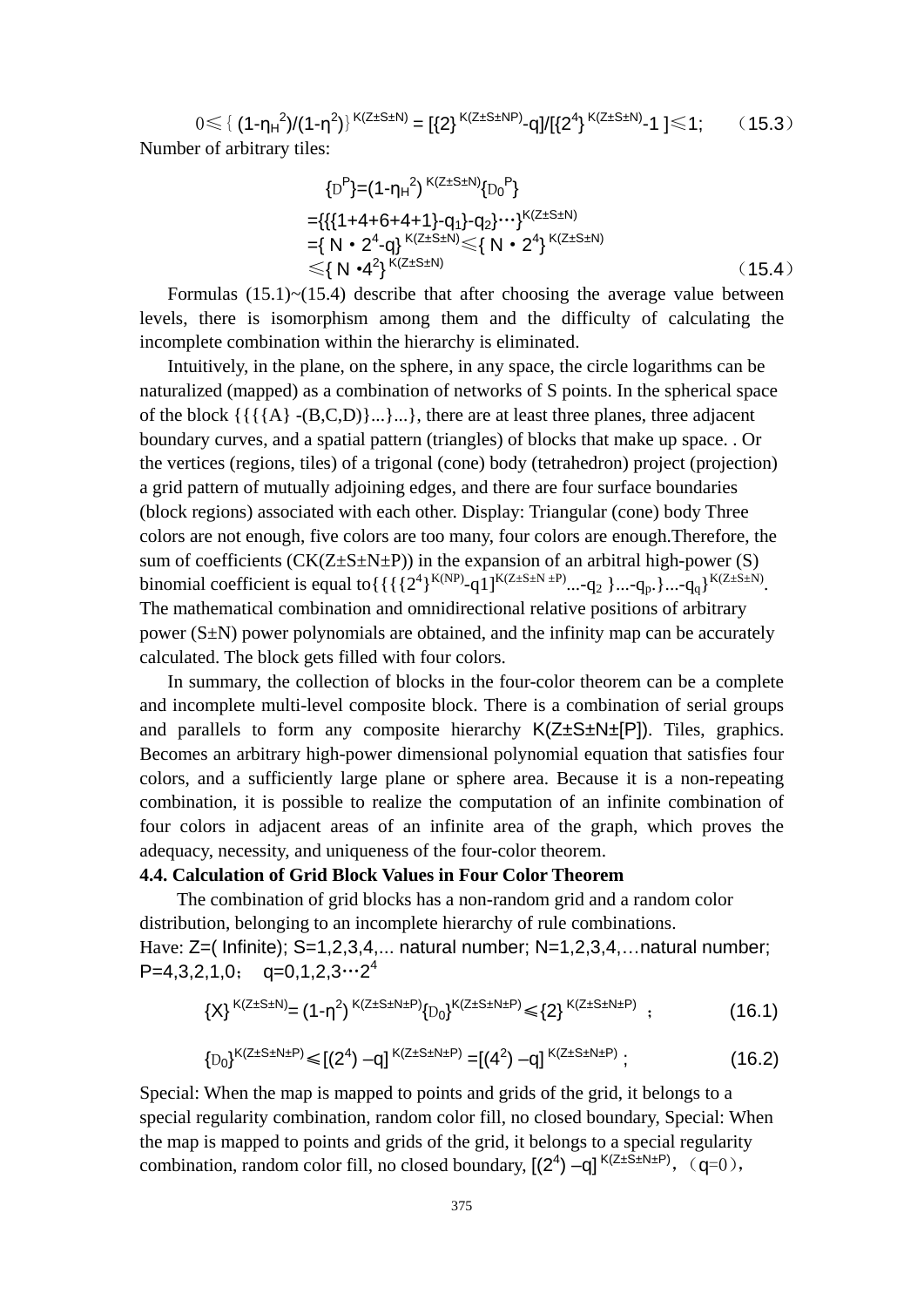$0 \leq \{ (1-\eta_H^2)/(1-\eta^2) \}^{K(Z\pm S\pm N)} = [\{2\}^{K(Z\pm S\pm NP)}-q]/[\{2^4\}^{K(Z\pm S\pm N)}-1] \leq 1;$  (15.3) Number of arbitrary tiles:

$$
\{D^{P}\} = (1 - \eta_{H}^{2})^{K(Z \pm S \pm N)} \{D_{0}^{P}\}
$$
  
= { { {1 + 4 + 6 + 4 + 1} - q<sub>1</sub> } - q<sub>2</sub>}... }<sup>K(Z \pm S \pm N)</sup>  
= { N • 2<sup>4</sup>-q} <sup>K(Z \pm S \pm N)</sup> < { N • 2<sup>4</sup>} <sup>K(Z \pm S \pm N)</sup>  
< { N • 4<sup>2</sup>} <sup>K(Z \pm S \pm N)</sup> (15.4)

Formulas  $(15.1)$   $\sim$   $(15.4)$  describe that after choosing the average value between levels, there is isomorphism among them and the difficulty of calculating the incomplete combination within the hierarchy is eliminated.

Intuitively, in the plane, on the sphere, in any space, the circle logarithms can be naturalized (mapped) as a combination of networks of S points. In the spherical space of the block  $\{\{\{A\}-(B,C,D)\}\dots\}$ ...}, there are at least three planes, three adjacent boundary curves, and a spatial pattern (triangles) of blocks that make up space. . Or the vertices (regions, tiles) of a trigonal (cone) body (tetrahedron) project (projection) a grid pattern of mutually adjoining edges, and there are four surface boundaries (block regions) associated with each other. Display: Triangular (cone) body Three colors are not enough, five colors are too many, four colors are enough.Therefore, the sum of coefficients  $(CK(Z \pm S \pm N \pm P))$  in the expansion of an arbitral high-power (S) binomial coefficient is equal to { { { ${2^4}^{K(NP)}$ -q1]<sup>K(Z±S±N ±P)</sup>...-q<sub>2</sub> }...-q<sub>p</sub>.}...-q<sub>q</sub>}<sup>K(Z±S±N</sup>). The mathematical combination and omnidirectional relative positions of arbitrary power  $(S \pm N)$  power polynomials are obtained, and the infinity map can be accurately calculated. The block gets filled with four colors.

In summary, the collection of blocks in the four-color theorem can be a complete and incomplete multi-level composite block. There is a combination of serial groups and parallels to form any composite hierarchy  $K(Z \pm S \pm N \pm [P])$ . Tiles, graphics. Becomes an arbitrary high-power dimensional polynomial equation that satisfies four colors, and a sufficiently large plane or sphere area. Because it is a non-repeating combination, it is possible to realize the computation of an infinite combination of four colors in adjacent areas of an infinite area of the graph, which proves the adequacy, necessity, and uniqueness of the four-color theorem.

## **4.4. Calculation of Grid Block Values in Four Color Theorem**

The combination of grid blocks has a non-random grid and a random color distribution, belonging to an incomplete hierarchy of rule combinations. Have: Z=( Infinite); S=1,2,3,4,... natural number; N=1,2,3,4,...natural number;  $P=4,3,2,1,0;$   $q=0,1,2,3\cdots2^4$ 

$$
{X}^{K(Z\pm S\pm N)} = (1-\eta^2)^{K(Z\pm S\pm N\pm P)} {D_0}^{K(Z\pm S\pm N\pm P)} \leq {2}^{K(Z\pm S\pm N\pm P)} \quad ; \tag{16.1}
$$

$$
{D_0}^{K(Z \pm S \pm N \pm P)} \leq [(2^4) - q]^{K(Z \pm S \pm N \pm P)} = [(4^2) - q]^{K(Z \pm S \pm N \pm P)};
$$
 (16.2)

Special: When the map is mapped to points and grids of the grid, it belongs to a special regularity combination, random color fill, no closed boundary, Special: When the map is mapped to points and grids of the grid, it belongs to a special regularity combination, random color fill, no closed boundary,  $[(2^4) -q]^{K(Z \pm S \pm N \pm P)}$ ,  $(q=0)$ ,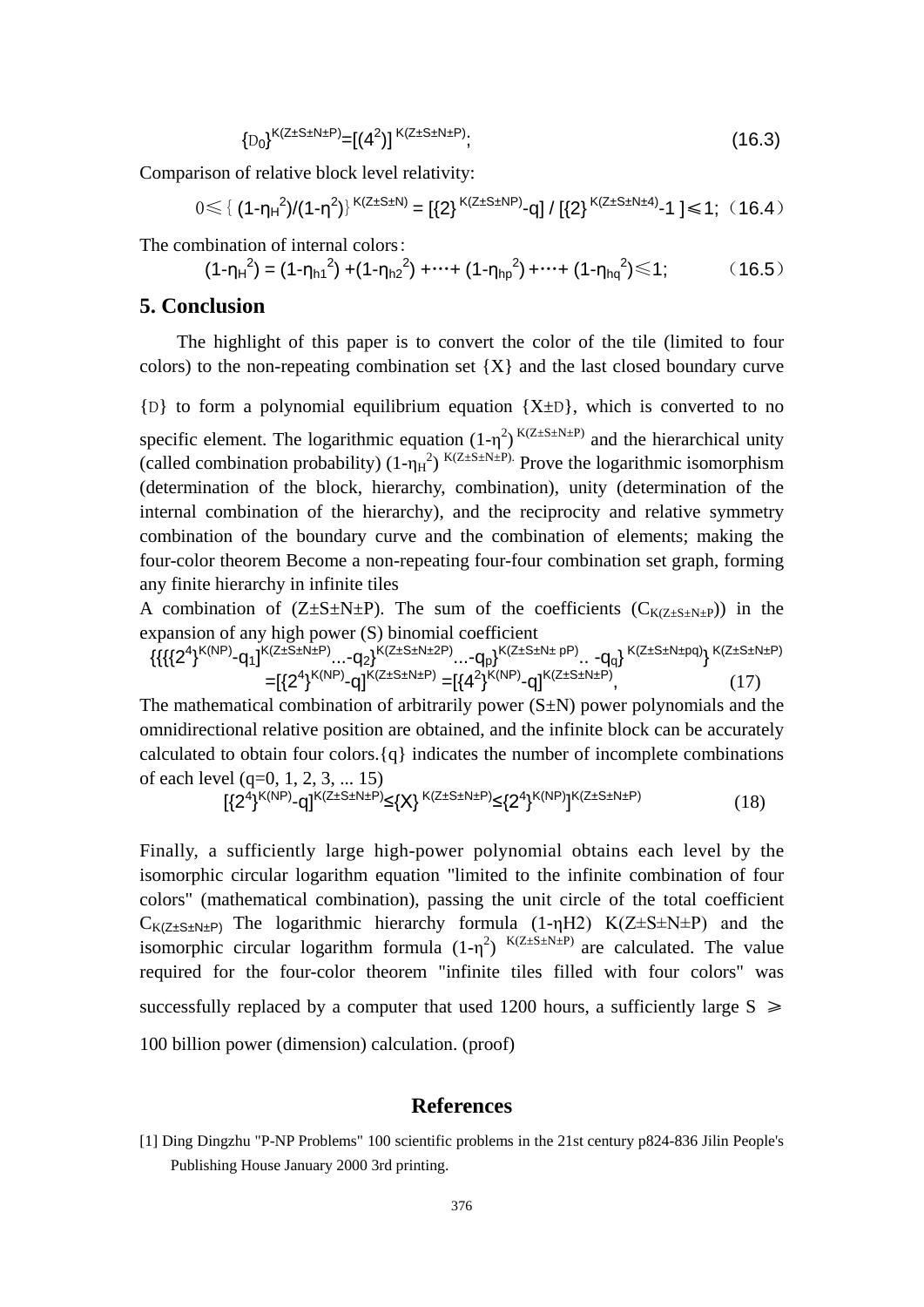$$
{D_0}^{K(Z \pm S \pm N \pm P)} = [(4^2)]^{K(Z \pm S \pm N \pm P)};
$$
\n(16.3)

Comparison of relative block level relativity:

$$
0 \leq \{ (1 - \eta_H^2) / (1 - \eta^2) \}^{K(Z \pm S \pm N)} = [\{2\}^{K(Z \pm S \pm NP)} - q] / [\{2\}^{K(Z \pm S \pm N \pm 4)} - 1] \leq 1; (16.4)
$$

The combination of internal colors:

$$
(1-\eta_{H}^{2}) = (1-\eta_{h1}^{2}) + (1-\eta_{h2}^{2}) + \cdots + (1-\eta_{hp}^{2}) + \cdots + (1-\eta_{hq}^{2}) \le 1;
$$
 (16.5)

#### **5. Conclusion**

The highlight of this paper is to convert the color of the tile (limited to four colors) to the non-repeating combination set  ${X}$  and the last closed boundary curve

 ${D}$  to form a polynomial equilibrium equation  ${X\pm D}$ , which is converted to no specific element. The logarithmic equation  $(1-\eta^2)^{K(Z \pm S \pm N \pm P)}$  and the hierarchical unity (called combination probability)  $(1-\eta_H^2)^{K(Z \pm S \pm N \pm P)}$  Prove the logarithmic isomorphism (determination of the block, hierarchy, combination), unity (determination of the internal combination of the hierarchy), and the reciprocity and relative symmetry combination of the boundary curve and the combination of elements; making the four-color theorem Become a non-repeating four-four combination set graph, forming any finite hierarchy in infinite tiles

A combination of  $(Z \pm S \pm N \pm P)$ . The sum of the coefficients  $(C_{K(Z \pm S \pm N \pm P}))$  in the expansion of any high power (S) binomial coefficient

$$
\{\{\{2^{4}\}^{K(NP)}\text{-}q_{1}\}^{K(Z\text{+S\text{-}N\text{+}P)}\dots\text{-}q_{2}\}^{K(Z\text{+S\text{-}N\text{+}2P)}\dots\text{-}q_{p}\}^{K(Z\text{+S\text{-}N\text{+}p})}\text{-}q_{1}\}^{K(Z\text{+S\text{-}N\text{+}p})}\}
$$
\n
$$
=[\{2^{4}\}^{K(NP)}\text{-}q]^{K(Z\text{+S\text{-}N\text{+}P)}\text{-}q}[\{4^{2}\}^{K(NP)}\text{-}q]^{K(Z\text{+S\text{-}N\text{+}P})},\tag{17}
$$

The mathematical combination of arbitrarily power  $(S \pm N)$  power polynomials and the omnidirectional relative position are obtained, and the infinite block can be accurately calculated to obtain four colors.{q} indicates the number of incomplete combinations of each level (q=0, 1, 2, 3, ... 15)

$$
[(2^{4})^{K(NP)}-q]^{K(Z\pm S\pm N\pm P)} \leq \{X\}^{K(Z\pm S\pm N\pm P)} \leq \{2^{4}\}^{K(NP)}{K(Z\pm S\pm N\pm P)}
$$
(18)

Finally, a sufficiently large high-power polynomial obtains each level by the isomorphic circular logarithm equation "limited to the infinite combination of four colors" (mathematical combination), passing the unit circle of the total coefficient  $C_{K(Z\pm S\pm N\pm P)}$  The logarithmic hierarchy formula (1-ηH2) K(Z $\pm S\pm N\pm P$ ) and the isomorphic circular logarithm formula  $(1-\eta^2)^{K(Z\pm S\pm N\pm P)}$  are calculated. The value required for the four-color theorem "infinite tiles filled with four colors" was successfully replaced by a computer that used 1200 hours, a sufficiently large  $S \geq 1$ 100 billion power (dimension) calculation. (proof)

#### **References**

[1] Ding Dingzhu "P-NP Problems" 100 scientific problems in the 21st century p824-836 Jilin People's Publishing House January 2000 3rd printing.